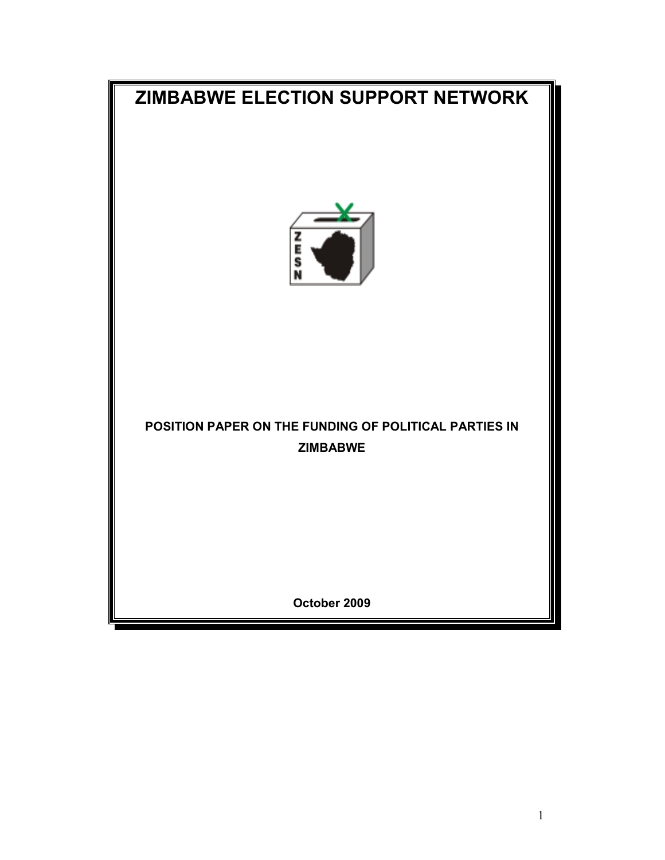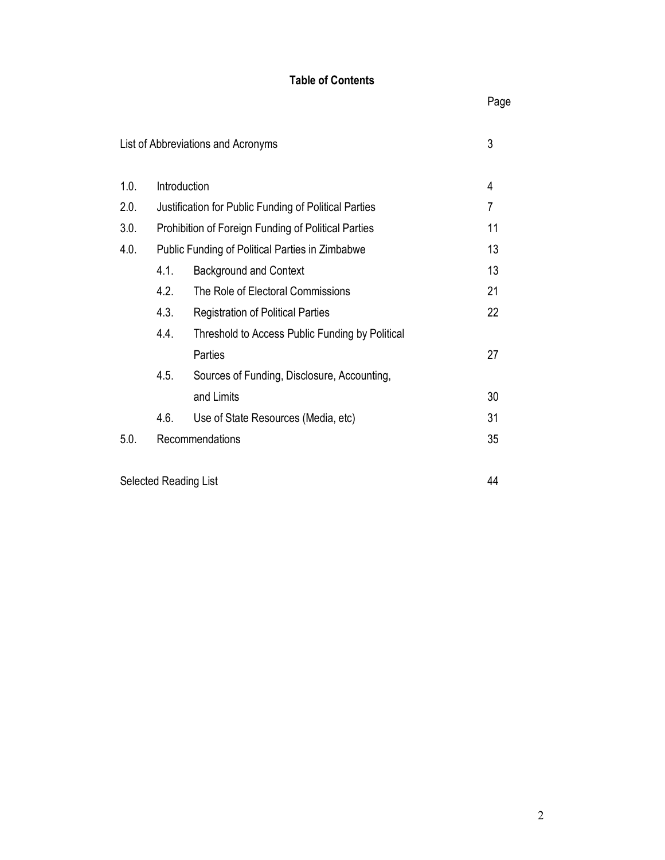# Table of Contents

|                       |                                                            | List of Abbreviations and Acronyms              | 3  |
|-----------------------|------------------------------------------------------------|-------------------------------------------------|----|
| 1.0.                  | Introduction<br>4                                          |                                                 |    |
| 2.0.                  | Justification for Public Funding of Political Parties<br>7 |                                                 |    |
| 3.0.                  | 11<br>Prohibition of Foreign Funding of Political Parties  |                                                 |    |
| 4.0.                  | Public Funding of Political Parties in Zimbabwe            |                                                 |    |
|                       | 4.1.                                                       | <b>Background and Context</b>                   | 13 |
|                       | 4.2.                                                       | The Role of Electoral Commissions               | 21 |
|                       | 4.3.                                                       | <b>Registration of Political Parties</b>        | 22 |
|                       | 4.4.                                                       | Threshold to Access Public Funding by Political |    |
|                       |                                                            | Parties                                         | 27 |
|                       | 4.5.                                                       | Sources of Funding, Disclosure, Accounting,     |    |
|                       |                                                            | and Limits                                      | 30 |
|                       | 4.6.                                                       | Use of State Resources (Media, etc)             | 31 |
| 5.0.                  | Recommendations                                            |                                                 | 35 |
|                       |                                                            |                                                 |    |
| Selected Reading List |                                                            |                                                 |    |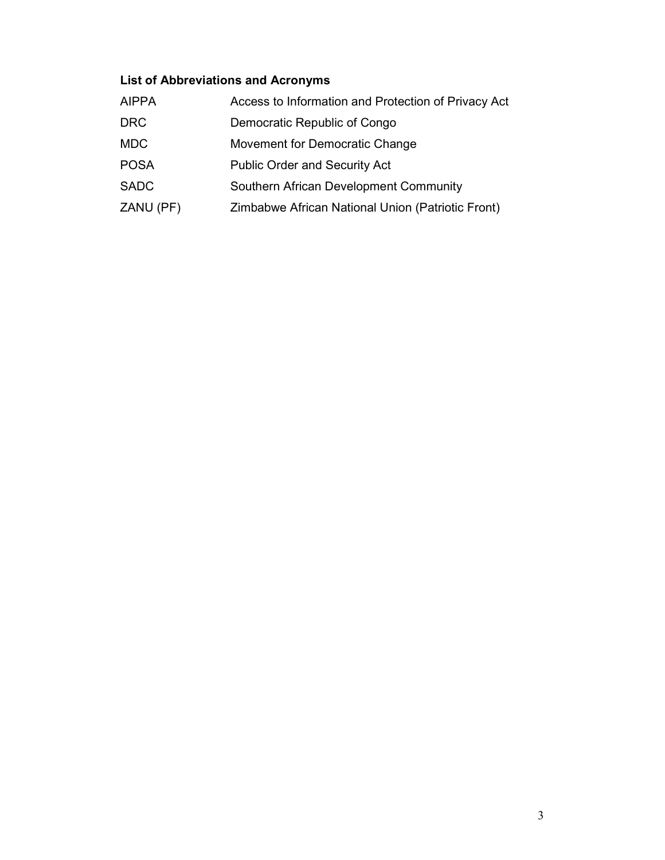# List of Abbreviations and Acronyms

| <b>AIPPA</b> | Access to Information and Protection of Privacy Act |
|--------------|-----------------------------------------------------|
| <b>DRC</b>   | Democratic Republic of Congo                        |
| <b>MDC</b>   | Movement for Democratic Change                      |
| <b>POSA</b>  | <b>Public Order and Security Act</b>                |
| <b>SADC</b>  | Southern African Development Community              |
| ZANU (PF)    | Zimbabwe African National Union (Patriotic Front)   |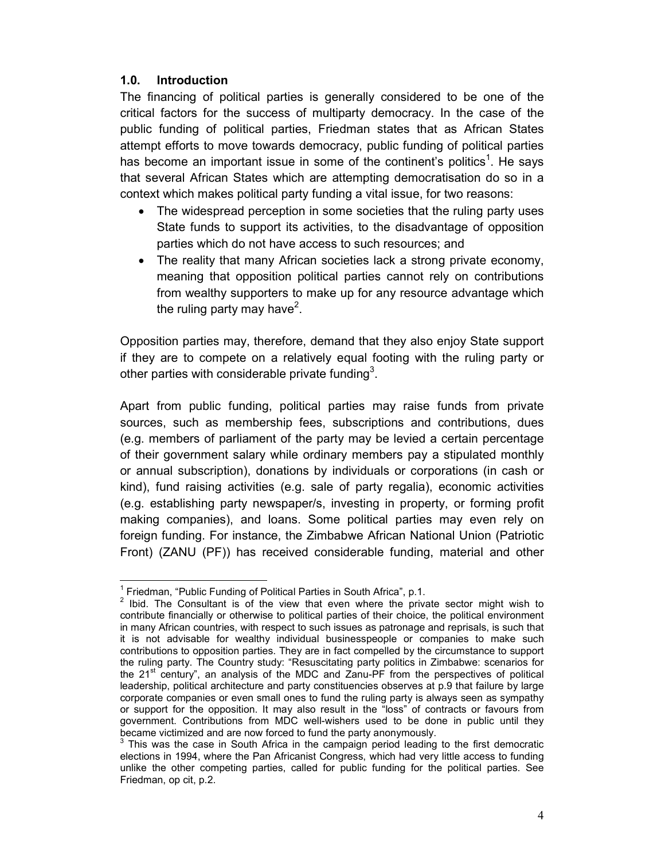#### 1.0. Introduction

l

The financing of political parties is generally considered to be one of the critical factors for the success of multiparty democracy. In the case of the public funding of political parties, Friedman states that as African States attempt efforts to move towards democracy, public funding of political parties has become an important issue in some of the continent's politics<sup>1</sup>. He says that several African States which are attempting democratisation do so in a context which makes political party funding a vital issue, for two reasons:

- The widespread perception in some societies that the ruling party uses State funds to support its activities, to the disadvantage of opposition parties which do not have access to such resources; and
- The reality that many African societies lack a strong private economy, meaning that opposition political parties cannot rely on contributions from wealthy supporters to make up for any resource advantage which the ruling party may have<sup>2</sup>.

Opposition parties may, therefore, demand that they also enjoy State support if they are to compete on a relatively equal footing with the ruling party or other parties with considerable private funding<sup>3</sup>.

Apart from public funding, political parties may raise funds from private sources, such as membership fees, subscriptions and contributions, dues (e.g. members of parliament of the party may be levied a certain percentage of their government salary while ordinary members pay a stipulated monthly or annual subscription), donations by individuals or corporations (in cash or kind), fund raising activities (e.g. sale of party regalia), economic activities (e.g. establishing party newspaper/s, investing in property, or forming profit making companies), and loans. Some political parties may even rely on foreign funding. For instance, the Zimbabwe African National Union (Patriotic Front) (ZANU (PF)) has received considerable funding, material and other

<sup>&</sup>lt;sup>1</sup> Friedman, "Public Funding of Political Parties in South Africa", p.1.

 $2$  Ibid. The Consultant is of the view that even where the private sector might wish to contribute financially or otherwise to political parties of their choice, the political environment in many African countries, with respect to such issues as patronage and reprisals, is such that it is not advisable for wealthy individual businesspeople or companies to make such contributions to opposition parties. They are in fact compelled by the circumstance to support the ruling party. The Country study: "Resuscitating party politics in Zimbabwe: scenarios for the  $21^{st}$  century", an analysis of the MDC and Zanu-PF from the perspectives of political leadership, political architecture and party constituencies observes at p.9 that failure by large corporate companies or even small ones to fund the ruling party is always seen as sympathy or support for the opposition. It may also result in the "loss" of contracts or favours from government. Contributions from MDC well-wishers used to be done in public until they became victimized and are now forced to fund the party anonymously.

 $3$  This was the case in South Africa in the campaign period leading to the first democratic elections in 1994, where the Pan Africanist Congress, which had very little access to funding unlike the other competing parties, called for public funding for the political parties. See Friedman, op cit, p.2.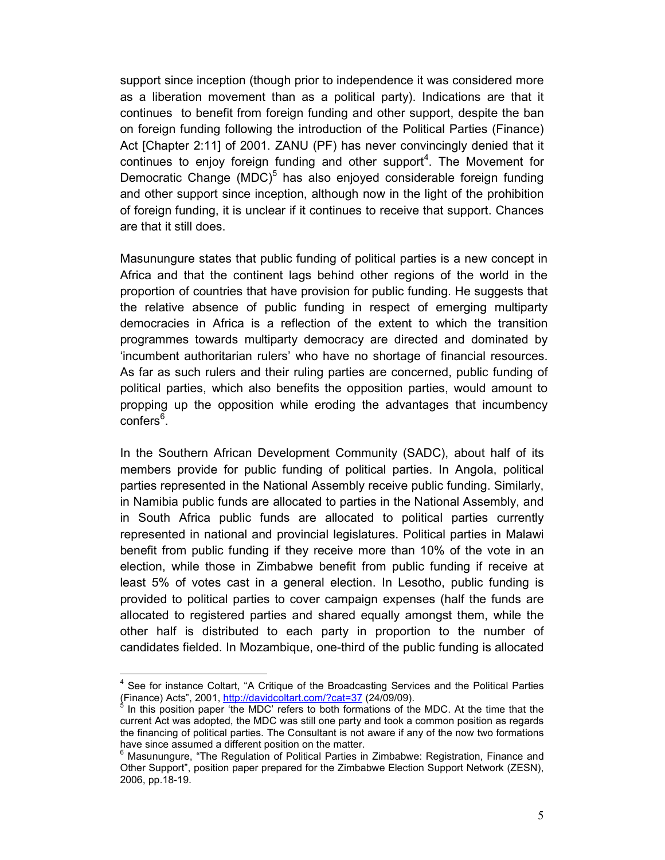support since inception (though prior to independence it was considered more as a liberation movement than as a political party). Indications are that it continues to benefit from foreign funding and other support, despite the ban on foreign funding following the introduction of the Political Parties (Finance) Act [Chapter 2:11] of 2001. ZANU (PF) has never convincingly denied that it continues to enjoy foreign funding and other support<sup>4</sup>. The Movement for Democratic Change (MDC)<sup>5</sup> has also enjoyed considerable foreign funding and other support since inception, although now in the light of the prohibition of foreign funding, it is unclear if it continues to receive that support. Chances are that it still does.

Masunungure states that public funding of political parties is a new concept in Africa and that the continent lags behind other regions of the world in the proportion of countries that have provision for public funding. He suggests that the relative absence of public funding in respect of emerging multiparty democracies in Africa is a reflection of the extent to which the transition programmes towards multiparty democracy are directed and dominated by 'incumbent authoritarian rulers' who have no shortage of financial resources. As far as such rulers and their ruling parties are concerned, public funding of political parties, which also benefits the opposition parties, would amount to propping up the opposition while eroding the advantages that incumbency confers<sup>6</sup>.

In the Southern African Development Community (SADC), about half of its members provide for public funding of political parties. In Angola, political parties represented in the National Assembly receive public funding. Similarly, in Namibia public funds are allocated to parties in the National Assembly, and in South Africa public funds are allocated to political parties currently represented in national and provincial legislatures. Political parties in Malawi benefit from public funding if they receive more than 10% of the vote in an election, while those in Zimbabwe benefit from public funding if receive at least 5% of votes cast in a general election. In Lesotho, public funding is provided to political parties to cover campaign expenses (half the funds are allocated to registered parties and shared equally amongst them, while the other half is distributed to each party in proportion to the number of candidates fielded. In Mozambique, one-third of the public funding is allocated

<sup>&</sup>lt;sup>4</sup> See for instance Coltart, "A Critique of the Broadcasting Services and the Political Parties (Finance) Acts", 2001, http://davidcoltart.com/?cat=37 (24/09/09).<br><sup>5</sup> In this nesition naper 'the MDC' refers to beth fermations of the

In this position paper 'the MDC' refers to both formations of the MDC. At the time that the current Act was adopted, the MDC was still one party and took a common position as regards the financing of political parties. The Consultant is not aware if any of the now two formations have since assumed a different position on the matter.

<sup>6</sup> Masunungure, "The Regulation of Political Parties in Zimbabwe: Registration, Finance and Other Support", position paper prepared for the Zimbabwe Election Support Network (ZESN), 2006, pp.18-19.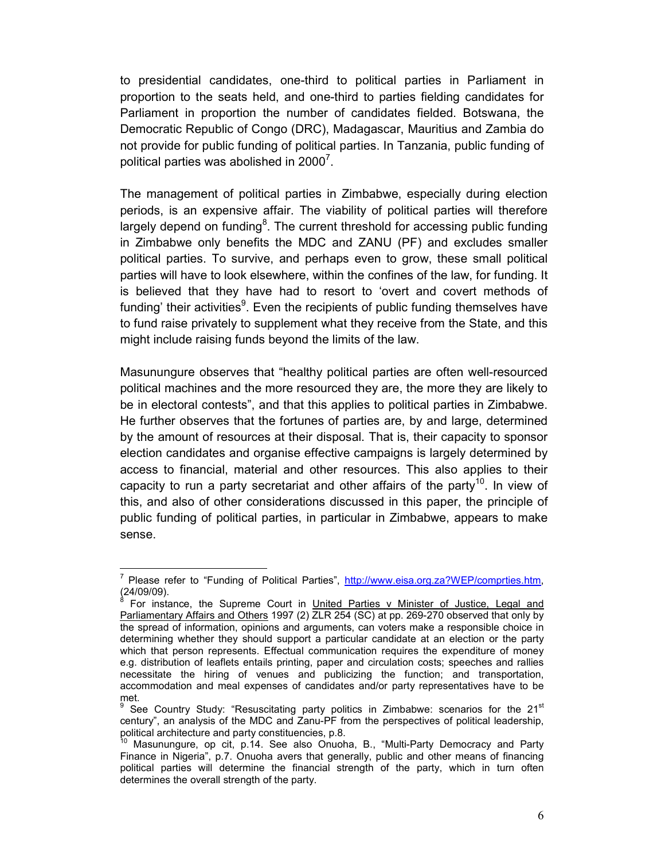to presidential candidates, one-third to political parties in Parliament in proportion to the seats held, and one-third to parties fielding candidates for Parliament in proportion the number of candidates fielded. Botswana, the Democratic Republic of Congo (DRC), Madagascar, Mauritius and Zambia do not provide for public funding of political parties. In Tanzania, public funding of political parties was abolished in 2000<sup>7</sup>.

The management of political parties in Zimbabwe, especially during election periods, is an expensive affair. The viability of political parties will therefore largely depend on funding<sup>8</sup>. The current threshold for accessing public funding in Zimbabwe only benefits the MDC and ZANU (PF) and excludes smaller political parties. To survive, and perhaps even to grow, these small political parties will have to look elsewhere, within the confines of the law, for funding. It is believed that they have had to resort to 'overt and covert methods of funding' their activities<sup>9</sup>. Even the recipients of public funding themselves have to fund raise privately to supplement what they receive from the State, and this might include raising funds beyond the limits of the law.

Masunungure observes that "healthy political parties are often well-resourced political machines and the more resourced they are, the more they are likely to be in electoral contests", and that this applies to political parties in Zimbabwe. He further observes that the fortunes of parties are, by and large, determined by the amount of resources at their disposal. That is, their capacity to sponsor election candidates and organise effective campaigns is largely determined by access to financial, material and other resources. This also applies to their capacity to run a party secretariat and other affairs of the party<sup>10</sup>. In view of this, and also of other considerations discussed in this paper, the principle of public funding of political parties, in particular in Zimbabwe, appears to make sense.

<sup>7</sup> Please refer to "Funding of Political Parties", http://www.eisa.org.za?WEP/comprties.htm, (24/09/09).<br><sup>8</sup> Eer inste

For instance, the Supreme Court in United Parties v Minister of Justice, Legal and Parliamentary Affairs and Others 1997 (2) ZLR 254 (SC) at pp. 269-270 observed that only by the spread of information, opinions and arguments, can voters make a responsible choice in determining whether they should support a particular candidate at an election or the party which that person represents. Effectual communication requires the expenditure of money e.g. distribution of leaflets entails printing, paper and circulation costs; speeches and rallies necessitate the hiring of venues and publicizing the function; and transportation, accommodation and meal expenses of candidates and/or party representatives have to be met.<br>º Co

See Country Study: "Resuscitating party politics in Zimbabwe: scenarios for the  $21<sup>st</sup>$ century", an analysis of the MDC and Zanu-PF from the perspectives of political leadership, political architecture and party constituencies, p.8.

<sup>10</sup> Masunungure, op cit, p.14. See also Onuoha, B., "Multi-Party Democracy and Party Finance in Nigeria", p.7. Onuoha avers that generally, public and other means of financing political parties will determine the financial strength of the party, which in turn often determines the overall strength of the party.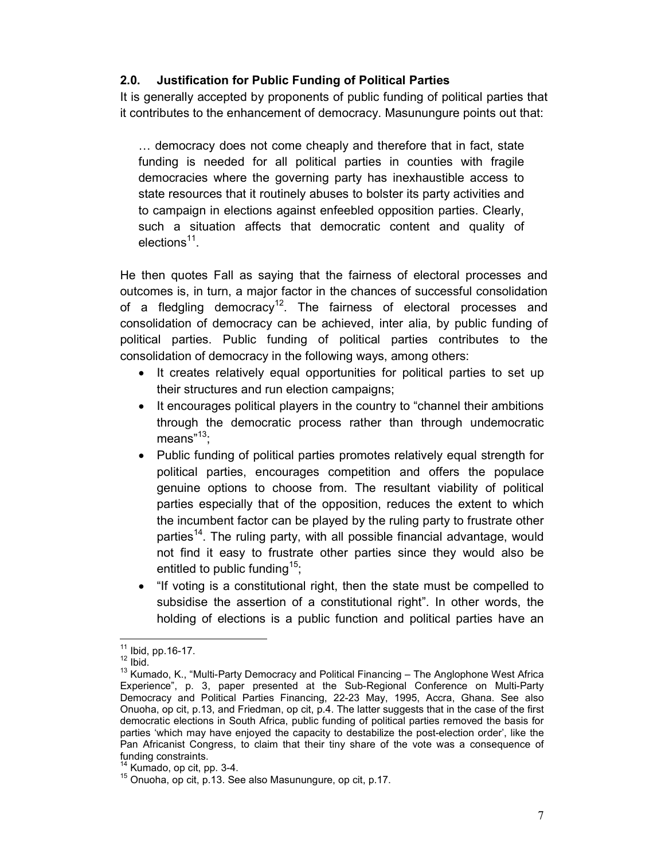### 2.0. Justification for Public Funding of Political Parties

It is generally accepted by proponents of public funding of political parties that it contributes to the enhancement of democracy. Masunungure points out that:

… democracy does not come cheaply and therefore that in fact, state funding is needed for all political parties in counties with fragile democracies where the governing party has inexhaustible access to state resources that it routinely abuses to bolster its party activities and to campaign in elections against enfeebled opposition parties. Clearly, such a situation affects that democratic content and quality of elections<sup>11</sup>.

He then quotes Fall as saying that the fairness of electoral processes and outcomes is, in turn, a major factor in the chances of successful consolidation of a fledgling democracy<sup>12</sup>. The fairness of electoral processes and consolidation of democracy can be achieved, inter alia, by public funding of political parties. Public funding of political parties contributes to the consolidation of democracy in the following ways, among others:

- It creates relatively equal opportunities for political parties to set up their structures and run election campaigns;
- It encourages political players in the country to "channel their ambitions through the democratic process rather than through undemocratic means" $13$ ;
- Public funding of political parties promotes relatively equal strength for political parties, encourages competition and offers the populace genuine options to choose from. The resultant viability of political parties especially that of the opposition, reduces the extent to which the incumbent factor can be played by the ruling party to frustrate other parties<sup>14</sup>. The ruling party, with all possible financial advantage, would not find it easy to frustrate other parties since they would also be entitled to public funding<sup>15</sup>;
- "If voting is a constitutional right, then the state must be compelled to subsidise the assertion of a constitutional right". In other words, the holding of elections is a public function and political parties have an

<sup>11</sup> Ibid, pp.16-17.

 $12$  Ibid.

<sup>&</sup>lt;sup>13</sup> Kumado, K., "Multi-Party Democracy and Political Financing - The Anglophone West Africa Experience", p. 3, paper presented at the Sub-Regional Conference on Multi-Party Democracy and Political Parties Financing, 22-23 May, 1995, Accra, Ghana. See also Onuoha, op cit, p.13, and Friedman, op cit, p.4. The latter suggests that in the case of the first democratic elections in South Africa, public funding of political parties removed the basis for parties 'which may have enjoyed the capacity to destabilize the post-election order', like the Pan Africanist Congress, to claim that their tiny share of the vote was a consequence of funding constraints.

 $14$  Kumado, op cit, pp. 3-4.

<sup>&</sup>lt;sup>15</sup> Onuoha, op cit, p.13. See also Masunungure, op cit, p.17.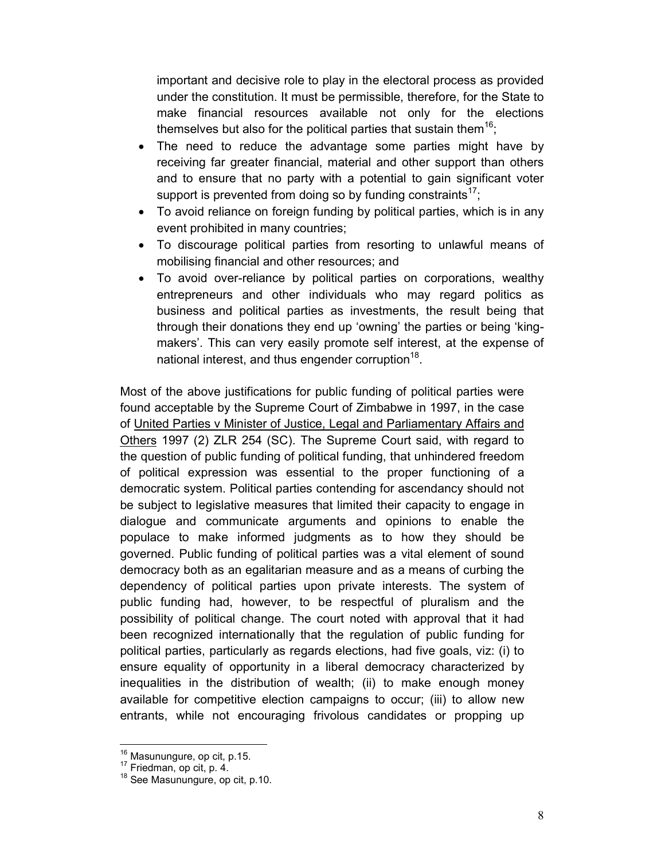important and decisive role to play in the electoral process as provided under the constitution. It must be permissible, therefore, for the State to make financial resources available not only for the elections themselves but also for the political parties that sustain them<sup>16</sup>;

- The need to reduce the advantage some parties might have by receiving far greater financial, material and other support than others and to ensure that no party with a potential to gain significant voter support is prevented from doing so by funding constraints<sup>17</sup>;
- To avoid reliance on foreign funding by political parties, which is in any event prohibited in many countries;
- To discourage political parties from resorting to unlawful means of mobilising financial and other resources; and
- To avoid over-reliance by political parties on corporations, wealthy entrepreneurs and other individuals who may regard politics as business and political parties as investments, the result being that through their donations they end up 'owning' the parties or being 'kingmakers'. This can very easily promote self interest, at the expense of national interest, and thus engender corruption $^{18}$ .

Most of the above justifications for public funding of political parties were found acceptable by the Supreme Court of Zimbabwe in 1997, in the case of United Parties v Minister of Justice, Legal and Parliamentary Affairs and Others 1997 (2) ZLR 254 (SC). The Supreme Court said, with regard to the question of public funding of political funding, that unhindered freedom of political expression was essential to the proper functioning of a democratic system. Political parties contending for ascendancy should not be subject to legislative measures that limited their capacity to engage in dialogue and communicate arguments and opinions to enable the populace to make informed judgments as to how they should be governed. Public funding of political parties was a vital element of sound democracy both as an egalitarian measure and as a means of curbing the dependency of political parties upon private interests. The system of public funding had, however, to be respectful of pluralism and the possibility of political change. The court noted with approval that it had been recognized internationally that the regulation of public funding for political parties, particularly as regards elections, had five goals, viz: (i) to ensure equality of opportunity in a liberal democracy characterized by inequalities in the distribution of wealth; (ii) to make enough money available for competitive election campaigns to occur; (iii) to allow new entrants, while not encouraging frivolous candidates or propping up

<sup>&</sup>lt;sup>16</sup> Masunungure, op cit, p.15.

<sup>17</sup> Friedman, op cit, p. 4.

<sup>&</sup>lt;sup>18</sup> See Masunungure, op cit, p.10.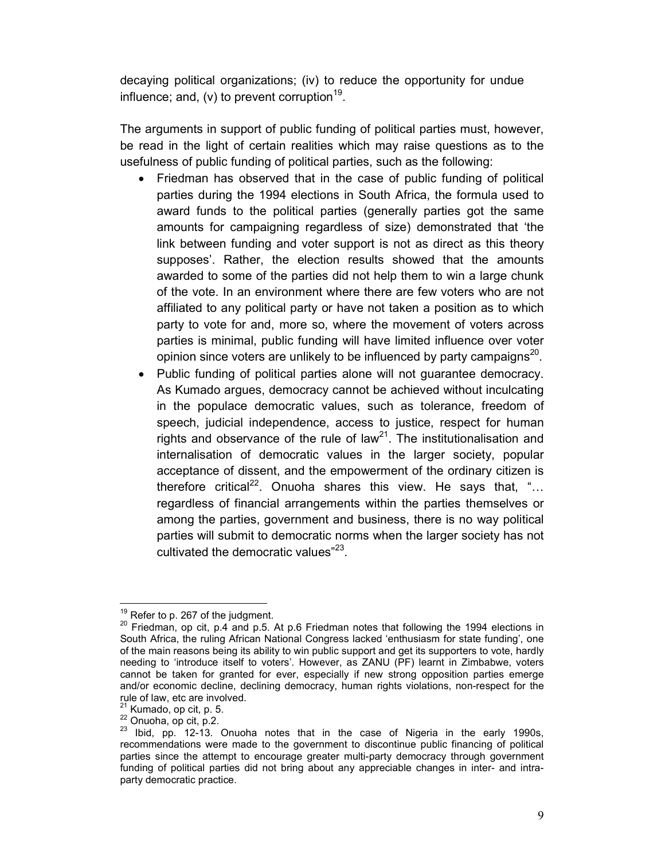decaying political organizations; (iv) to reduce the opportunity for undue influence; and, (v) to prevent corruption<sup>19</sup>.

The arguments in support of public funding of political parties must, however, be read in the light of certain realities which may raise questions as to the usefulness of public funding of political parties, such as the following:

- Friedman has observed that in the case of public funding of political parties during the 1994 elections in South Africa, the formula used to award funds to the political parties (generally parties got the same amounts for campaigning regardless of size) demonstrated that 'the link between funding and voter support is not as direct as this theory supposes'. Rather, the election results showed that the amounts awarded to some of the parties did not help them to win a large chunk of the vote. In an environment where there are few voters who are not affiliated to any political party or have not taken a position as to which party to vote for and, more so, where the movement of voters across parties is minimal, public funding will have limited influence over voter opinion since voters are unlikely to be influenced by party campaigns $^{20}$ .
- Public funding of political parties alone will not guarantee democracy. As Kumado argues, democracy cannot be achieved without inculcating in the populace democratic values, such as tolerance, freedom of speech, judicial independence, access to justice, respect for human rights and observance of the rule of law<sup>21</sup>. The institutionalisation and internalisation of democratic values in the larger society, popular acceptance of dissent, and the empowerment of the ordinary citizen is therefore critical<sup>22</sup>. Onuoha shares this view. He says that, "... regardless of financial arrangements within the parties themselves or among the parties, government and business, there is no way political parties will submit to democratic norms when the larger society has not cultivated the democratic values"<sup>23</sup>.

 $19$  Refer to p. 267 of the judgment.

 $20$  Friedman, op cit, p.4 and p.5. At p.6 Friedman notes that following the 1994 elections in South Africa, the ruling African National Congress lacked 'enthusiasm for state funding', one of the main reasons being its ability to win public support and get its supporters to vote, hardly needing to 'introduce itself to voters'. However, as ZANU (PF) learnt in Zimbabwe, voters cannot be taken for granted for ever, especially if new strong opposition parties emerge and/or economic decline, declining democracy, human rights violations, non-respect for the rule of law, etc are involved.

 $21$  Kumado, op cit, p. 5.

<sup>22</sup> Onuoha, op cit, p.2.

<sup>&</sup>lt;sup>23</sup> Ibid, pp. 12-13. Onuoha notes that in the case of Nigeria in the early 1990s, recommendations were made to the government to discontinue public financing of political parties since the attempt to encourage greater multi-party democracy through government funding of political parties did not bring about any appreciable changes in inter- and intraparty democratic practice.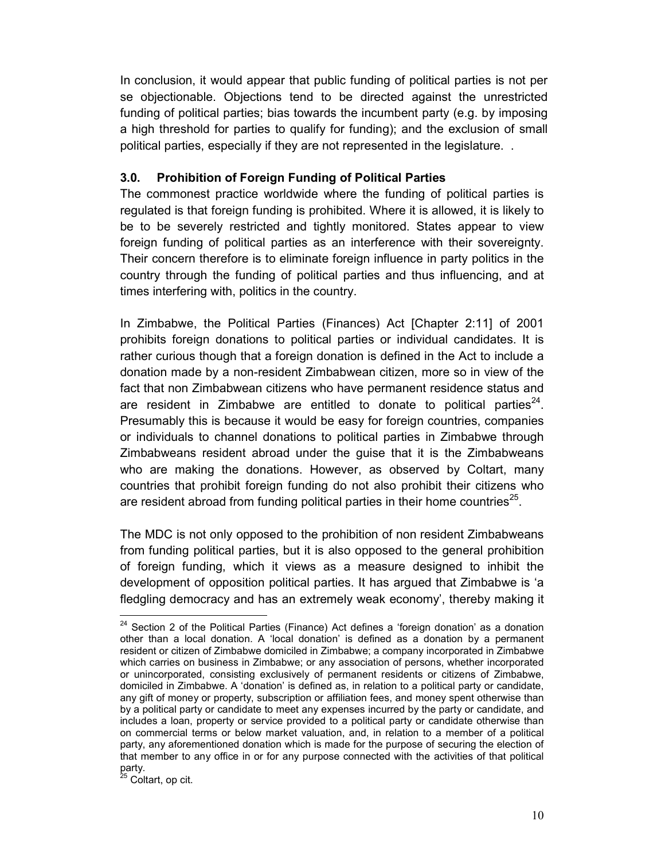In conclusion, it would appear that public funding of political parties is not per se objectionable. Objections tend to be directed against the unrestricted funding of political parties; bias towards the incumbent party (e.g. by imposing a high threshold for parties to qualify for funding); and the exclusion of small political parties, especially if they are not represented in the legislature. .

#### 3.0. Prohibition of Foreign Funding of Political Parties

The commonest practice worldwide where the funding of political parties is regulated is that foreign funding is prohibited. Where it is allowed, it is likely to be to be severely restricted and tightly monitored. States appear to view foreign funding of political parties as an interference with their sovereignty. Their concern therefore is to eliminate foreign influence in party politics in the country through the funding of political parties and thus influencing, and at times interfering with, politics in the country.

In Zimbabwe, the Political Parties (Finances) Act [Chapter 2:11] of 2001 prohibits foreign donations to political parties or individual candidates. It is rather curious though that a foreign donation is defined in the Act to include a donation made by a non-resident Zimbabwean citizen, more so in view of the fact that non Zimbabwean citizens who have permanent residence status and are resident in Zimbabwe are entitled to donate to political parties $^{24}$ . Presumably this is because it would be easy for foreign countries, companies or individuals to channel donations to political parties in Zimbabwe through Zimbabweans resident abroad under the guise that it is the Zimbabweans who are making the donations. However, as observed by Coltart, many countries that prohibit foreign funding do not also prohibit their citizens who are resident abroad from funding political parties in their home countries<sup>25</sup>.

The MDC is not only opposed to the prohibition of non resident Zimbabweans from funding political parties, but it is also opposed to the general prohibition of foreign funding, which it views as a measure designed to inhibit the development of opposition political parties. It has argued that Zimbabwe is 'a fledgling democracy and has an extremely weak economy', thereby making it

<sup>25</sup> Coltart, op cit.

 $24$  Section 2 of the Political Parties (Finance) Act defines a 'foreign donation' as a donation other than a local donation. A 'local donation' is defined as a donation by a permanent resident or citizen of Zimbabwe domiciled in Zimbabwe; a company incorporated in Zimbabwe which carries on business in Zimbabwe; or any association of persons, whether incorporated or unincorporated, consisting exclusively of permanent residents or citizens of Zimbabwe, domiciled in Zimbabwe. A 'donation' is defined as, in relation to a political party or candidate, any gift of money or property, subscription or affiliation fees, and money spent otherwise than by a political party or candidate to meet any expenses incurred by the party or candidate, and includes a loan, property or service provided to a political party or candidate otherwise than on commercial terms or below market valuation, and, in relation to a member of a political party, any aforementioned donation which is made for the purpose of securing the election of that member to any office in or for any purpose connected with the activities of that political party.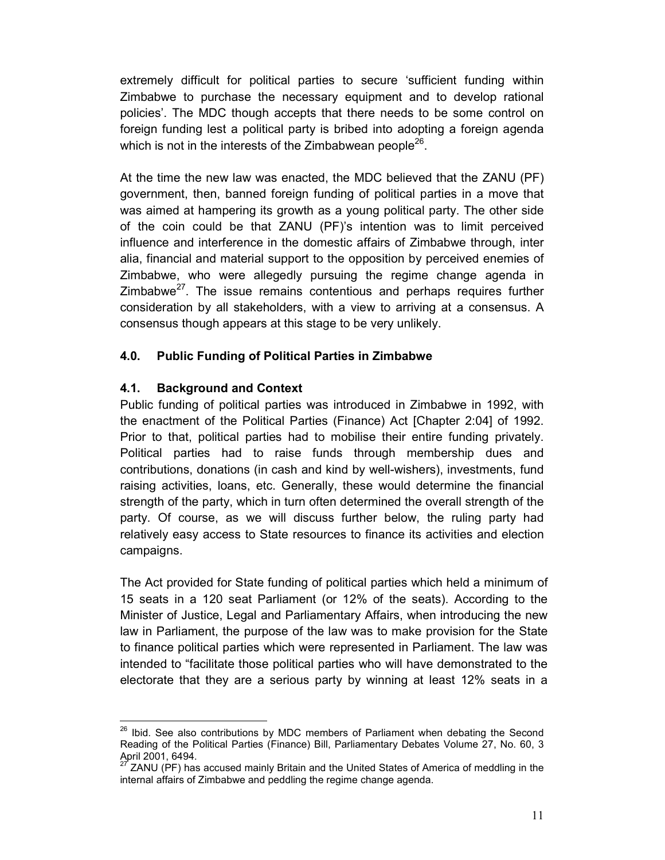extremely difficult for political parties to secure 'sufficient funding within Zimbabwe to purchase the necessary equipment and to develop rational policies'. The MDC though accepts that there needs to be some control on foreign funding lest a political party is bribed into adopting a foreign agenda which is not in the interests of the Zimbabwean people<sup>26</sup>.

At the time the new law was enacted, the MDC believed that the ZANU (PF) government, then, banned foreign funding of political parties in a move that was aimed at hampering its growth as a young political party. The other side of the coin could be that ZANU (PF)'s intention was to limit perceived influence and interference in the domestic affairs of Zimbabwe through, inter alia, financial and material support to the opposition by perceived enemies of Zimbabwe, who were allegedly pursuing the regime change agenda in Zimbabwe $^{27}$ . The issue remains contentious and perhaps requires further consideration by all stakeholders, with a view to arriving at a consensus. A consensus though appears at this stage to be very unlikely.

### 4.0. Public Funding of Political Parties in Zimbabwe

### 4.1. Background and Context

l

Public funding of political parties was introduced in Zimbabwe in 1992, with the enactment of the Political Parties (Finance) Act [Chapter 2:04] of 1992. Prior to that, political parties had to mobilise their entire funding privately. Political parties had to raise funds through membership dues and contributions, donations (in cash and kind by well-wishers), investments, fund raising activities, loans, etc. Generally, these would determine the financial strength of the party, which in turn often determined the overall strength of the party. Of course, as we will discuss further below, the ruling party had relatively easy access to State resources to finance its activities and election campaigns.

The Act provided for State funding of political parties which held a minimum of 15 seats in a 120 seat Parliament (or 12% of the seats). According to the Minister of Justice, Legal and Parliamentary Affairs, when introducing the new law in Parliament, the purpose of the law was to make provision for the State to finance political parties which were represented in Parliament. The law was intended to "facilitate those political parties who will have demonstrated to the electorate that they are a serious party by winning at least 12% seats in a

<sup>&</sup>lt;sup>26</sup> Ibid. See also contributions by MDC members of Parliament when debating the Second Reading of the Political Parties (Finance) Bill, Parliamentary Debates Volume 27, No. 60, 3 April 2001, 6494.

<sup>27</sup> ZANU (PF) has accused mainly Britain and the United States of America of meddling in the internal affairs of Zimbabwe and peddling the regime change agenda.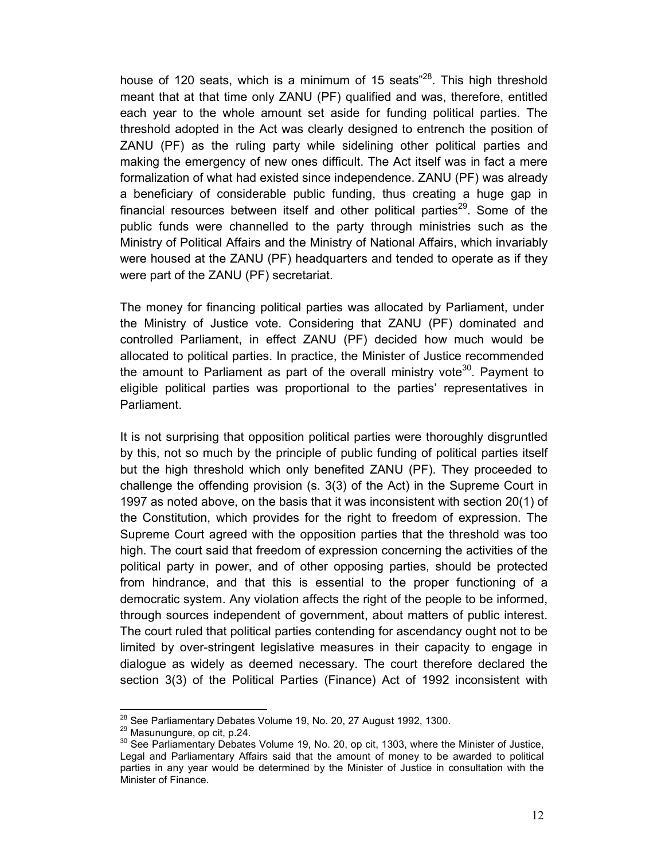house of 120 seats, which is a minimum of 15 seats $^{28}$ . This high threshold meant that at that time only ZANU (PF) qualified and was, therefore, entitled each year to the whole amount set aside for funding political parties. The threshold adopted in the Act was clearly designed to entrench the position of ZANU (PF) as the ruling party while sidelining other political parties and making the emergency of new ones difficult. The Act itself was in fact a mere formalization of what had existed since independence. ZANU (PF) was already a beneficiary of considerable public funding, thus creating a huge gap in financial resources between itself and other political parties<sup>29</sup>. Some of the public funds were channelled to the party through ministries such as the Ministry of Political Affairs and the Ministry of National Affairs, which invariably were housed at the ZANU (PF) headquarters and tended to operate as if they were part of the ZANU (PF) secretariat.

The money for financing political parties was allocated by Parliament, under the Ministry of Justice vote. Considering that ZANU (PF) dominated and controlled Parliament, in effect ZANU (PF) decided how much would be allocated to political parties. In practice, the Minister of Justice recommended the amount to Parliament as part of the overall ministry vote<sup>30</sup>. Payment to eligible political parties was proportional to the parties' representatives in Parliament.

It is not surprising that opposition political parties were thoroughly disgruntled by this, not so much by the principle of public funding of political parties itself but the high threshold which only benefited ZANU (PF). They proceeded to challenge the offending provision (s. 3(3) of the Act) in the Supreme Court in 1997 as noted above, on the basis that it was inconsistent with section 20(1) of the Constitution, which provides for the right to freedom of expression. The Supreme Court agreed with the opposition parties that the threshold was too high. The court said that freedom of expression concerning the activities of the political party in power, and of other opposing parties, should be protected from hindrance, and that this is essential to the proper functioning of a democratic system. Any violation affects the right of the people to be informed, through sources independent of government, about matters of public interest. The court ruled that political parties contending for ascendancy ought not to be limited by over-stringent legislative measures in their capacity to engage in dialogue as widely as deemed necessary. The court therefore declared the section 3(3) of the Political Parties (Finance) Act of 1992 inconsistent with

<sup>&</sup>lt;sup>28</sup> See Parliamentary Debates Volume 19, No. 20, 27 August 1992, 1300.

<sup>29</sup> Masunungure, op cit, p.24.

 $30$  See Parliamentary Debates Volume 19, No. 20, op cit, 1303, where the Minister of Justice, Legal and Parliamentary Affairs said that the amount of money to be awarded to political parties in any year would be determined by the Minister of Justice in consultation with the Minister of Finance.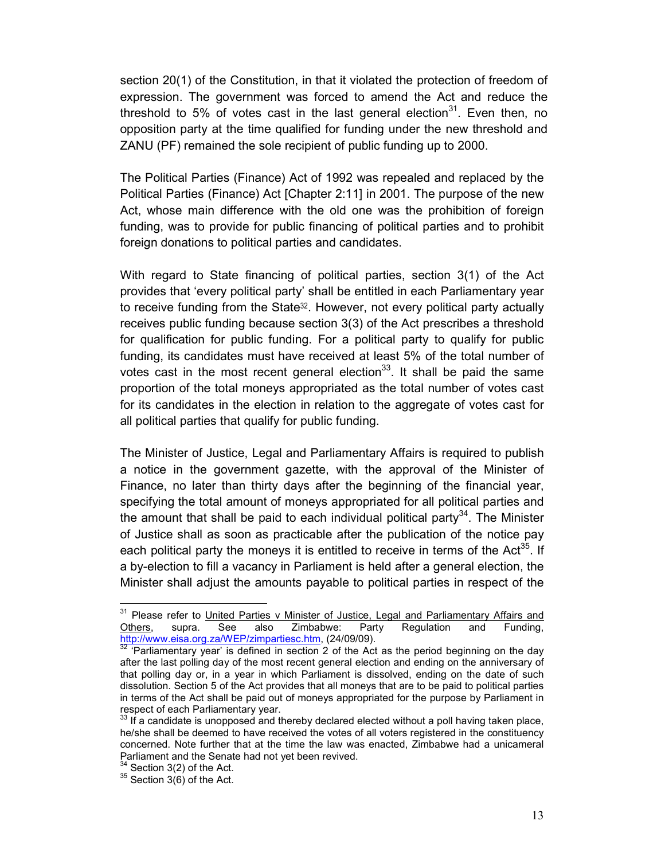section 20(1) of the Constitution, in that it violated the protection of freedom of expression. The government was forced to amend the Act and reduce the threshold to 5% of votes cast in the last general election<sup>31</sup>. Even then, no opposition party at the time qualified for funding under the new threshold and ZANU (PF) remained the sole recipient of public funding up to 2000.

The Political Parties (Finance) Act of 1992 was repealed and replaced by the Political Parties (Finance) Act [Chapter 2:11] in 2001. The purpose of the new Act, whose main difference with the old one was the prohibition of foreign funding, was to provide for public financing of political parties and to prohibit foreign donations to political parties and candidates.

With regard to State financing of political parties, section 3(1) of the Act provides that 'every political party' shall be entitled in each Parliamentary year to receive funding from the State<sup>32</sup>. However, not every political party actually receives public funding because section 3(3) of the Act prescribes a threshold for qualification for public funding. For a political party to qualify for public funding, its candidates must have received at least 5% of the total number of votes cast in the most recent general election<sup>33</sup>. It shall be paid the same proportion of the total moneys appropriated as the total number of votes cast for its candidates in the election in relation to the aggregate of votes cast for all political parties that qualify for public funding.

The Minister of Justice, Legal and Parliamentary Affairs is required to publish a notice in the government gazette, with the approval of the Minister of Finance, no later than thirty days after the beginning of the financial year, specifying the total amount of moneys appropriated for all political parties and the amount that shall be paid to each individual political party<sup>34</sup>. The Minister of Justice shall as soon as practicable after the publication of the notice pay each political party the moneys it is entitled to receive in terms of the Act<sup>35</sup>. If a by-election to fill a vacancy in Parliament is held after a general election, the Minister shall adjust the amounts payable to political parties in respect of the

<sup>&</sup>lt;sup>31</sup> Please refer to United Parties v Minister of Justice, Legal and Parliamentary Affairs and Others, supra. See also Zimbabwe: Party Regulation and Funding, Others, supra. See also Zimbabwe: Party Regulation and Funding, http://www.eisa.org.za/WEP/zimpartiesc.htm, (24/09/09).

 $32$  Parliamentary year' is defined in section 2 of the Act as the period beginning on the day after the last polling day of the most recent general election and ending on the anniversary of that polling day or, in a year in which Parliament is dissolved, ending on the date of such dissolution. Section 5 of the Act provides that all moneys that are to be paid to political parties in terms of the Act shall be paid out of moneys appropriated for the purpose by Parliament in respect of each Parliamentary year.

 $33$  If a candidate is unopposed and thereby declared elected without a poll having taken place, he/she shall be deemed to have received the votes of all voters registered in the constituency concerned. Note further that at the time the law was enacted, Zimbabwe had a unicameral Parliament and the Senate had not yet been revived.

 $34$  Section 3(2) of the Act.

 $35$  Section 3(6) of the Act.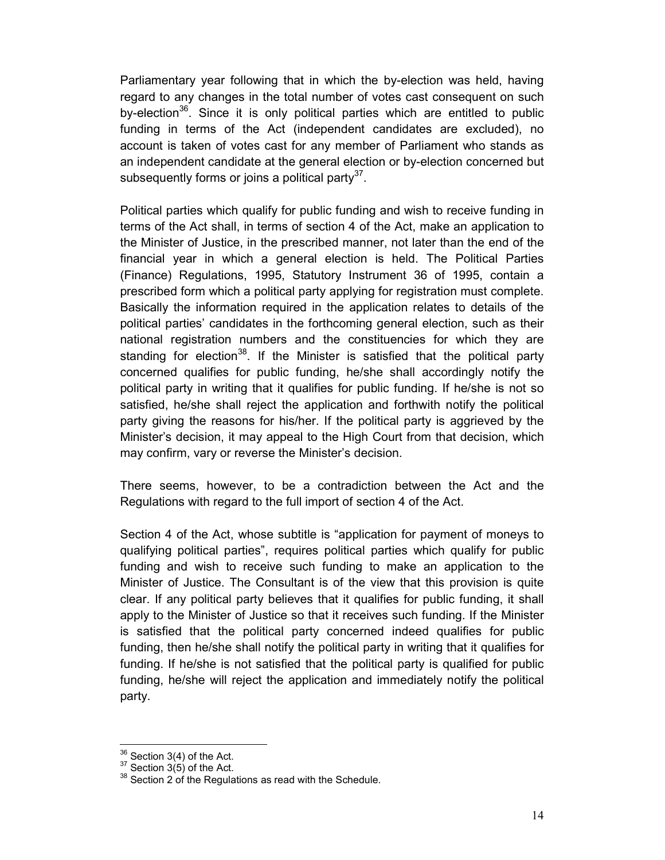Parliamentary year following that in which the by-election was held, having regard to any changes in the total number of votes cast consequent on such by-election<sup>36</sup>. Since it is only political parties which are entitled to public funding in terms of the Act (independent candidates are excluded), no account is taken of votes cast for any member of Parliament who stands as an independent candidate at the general election or by-election concerned but subsequently forms or joins a political party $3^7$ .

Political parties which qualify for public funding and wish to receive funding in terms of the Act shall, in terms of section 4 of the Act, make an application to the Minister of Justice, in the prescribed manner, not later than the end of the financial year in which a general election is held. The Political Parties (Finance) Regulations, 1995, Statutory Instrument 36 of 1995, contain a prescribed form which a political party applying for registration must complete. Basically the information required in the application relates to details of the political parties' candidates in the forthcoming general election, such as their national registration numbers and the constituencies for which they are standing for election<sup>38</sup>. If the Minister is satisfied that the political party concerned qualifies for public funding, he/she shall accordingly notify the political party in writing that it qualifies for public funding. If he/she is not so satisfied, he/she shall reject the application and forthwith notify the political party giving the reasons for his/her. If the political party is aggrieved by the Minister's decision, it may appeal to the High Court from that decision, which may confirm, vary or reverse the Minister's decision.

There seems, however, to be a contradiction between the Act and the Regulations with regard to the full import of section 4 of the Act.

Section 4 of the Act, whose subtitle is "application for payment of moneys to qualifying political parties", requires political parties which qualify for public funding and wish to receive such funding to make an application to the Minister of Justice. The Consultant is of the view that this provision is quite clear. If any political party believes that it qualifies for public funding, it shall apply to the Minister of Justice so that it receives such funding. If the Minister is satisfied that the political party concerned indeed qualifies for public funding, then he/she shall notify the political party in writing that it qualifies for funding. If he/she is not satisfied that the political party is qualified for public funding, he/she will reject the application and immediately notify the political party.

 $36$  Section 3(4) of the Act.

 $37$  Section 3(5) of the Act.

 $38$  Section 2 of the Regulations as read with the Schedule.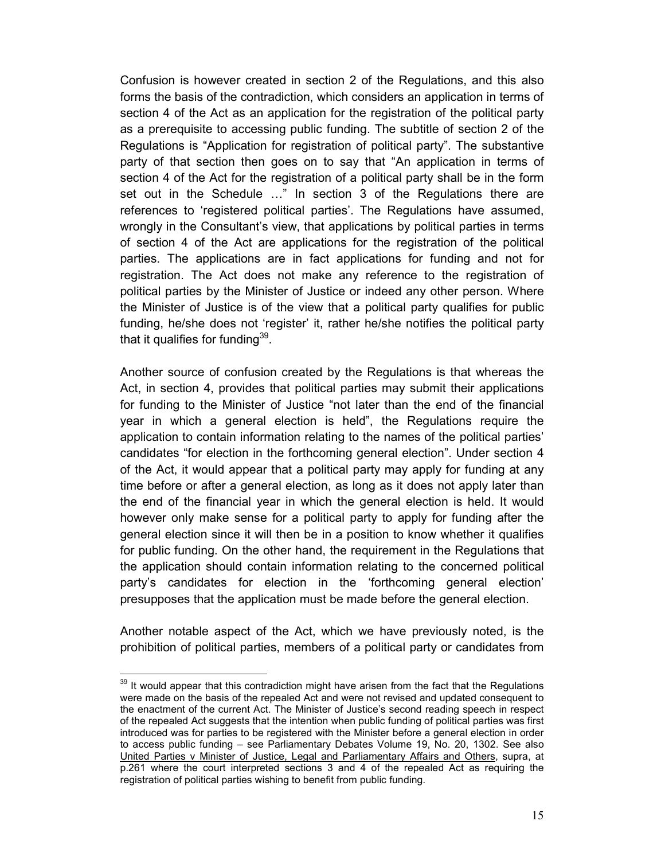Confusion is however created in section 2 of the Regulations, and this also forms the basis of the contradiction, which considers an application in terms of section 4 of the Act as an application for the registration of the political party as a prerequisite to accessing public funding. The subtitle of section 2 of the Regulations is "Application for registration of political party". The substantive party of that section then goes on to say that "An application in terms of section 4 of the Act for the registration of a political party shall be in the form set out in the Schedule ..." In section 3 of the Regulations there are references to 'registered political parties'. The Regulations have assumed, wrongly in the Consultant's view, that applications by political parties in terms of section 4 of the Act are applications for the registration of the political parties. The applications are in fact applications for funding and not for registration. The Act does not make any reference to the registration of political parties by the Minister of Justice or indeed any other person. Where the Minister of Justice is of the view that a political party qualifies for public funding, he/she does not 'register' it, rather he/she notifies the political party that it qualifies for funding $^{39}$ .

Another source of confusion created by the Regulations is that whereas the Act, in section 4, provides that political parties may submit their applications for funding to the Minister of Justice "not later than the end of the financial year in which a general election is held", the Regulations require the application to contain information relating to the names of the political parties' candidates "for election in the forthcoming general election". Under section 4 of the Act, it would appear that a political party may apply for funding at any time before or after a general election, as long as it does not apply later than the end of the financial year in which the general election is held. It would however only make sense for a political party to apply for funding after the general election since it will then be in a position to know whether it qualifies for public funding. On the other hand, the requirement in the Regulations that the application should contain information relating to the concerned political party's candidates for election in the 'forthcoming general election' presupposes that the application must be made before the general election.

Another notable aspect of the Act, which we have previously noted, is the prohibition of political parties, members of a political party or candidates from

 $39$  It would appear that this contradiction might have arisen from the fact that the Regulations were made on the basis of the repealed Act and were not revised and updated consequent to the enactment of the current Act. The Minister of Justice's second reading speech in respect of the repealed Act suggests that the intention when public funding of political parties was first introduced was for parties to be registered with the Minister before a general election in order to access public funding – see Parliamentary Debates Volume 19, No. 20, 1302. See also United Parties v Minister of Justice, Legal and Parliamentary Affairs and Others, supra, at p.261 where the court interpreted sections 3 and 4 of the repealed Act as requiring the registration of political parties wishing to benefit from public funding.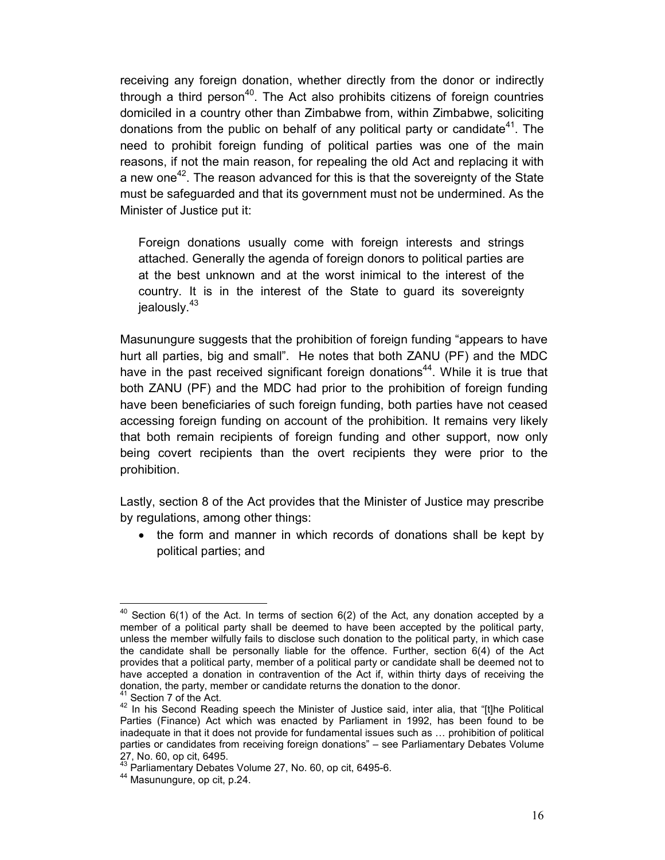receiving any foreign donation, whether directly from the donor or indirectly through a third person<sup>40</sup>. The Act also prohibits citizens of foreign countries domiciled in a country other than Zimbabwe from, within Zimbabwe, soliciting donations from the public on behalf of any political party or candidate<sup>41</sup>. The need to prohibit foreign funding of political parties was one of the main reasons, if not the main reason, for repealing the old Act and replacing it with a new one<sup>42</sup>. The reason advanced for this is that the sovereignty of the State must be safeguarded and that its government must not be undermined. As the Minister of Justice put it:

Foreign donations usually come with foreign interests and strings attached. Generally the agenda of foreign donors to political parties are at the best unknown and at the worst inimical to the interest of the country. It is in the interest of the State to guard its sovereignty jealously.<sup>43</sup>

Masunungure suggests that the prohibition of foreign funding "appears to have hurt all parties, big and small". He notes that both ZANU (PF) and the MDC have in the past received significant foreign donations<sup>44</sup>. While it is true that both ZANU (PF) and the MDC had prior to the prohibition of foreign funding have been beneficiaries of such foreign funding, both parties have not ceased accessing foreign funding on account of the prohibition. It remains very likely that both remain recipients of foreign funding and other support, now only being covert recipients than the overt recipients they were prior to the prohibition.

Lastly, section 8 of the Act provides that the Minister of Justice may prescribe by regulations, among other things:

• the form and manner in which records of donations shall be kept by political parties; and

 $40$  Section 6(1) of the Act. In terms of section 6(2) of the Act, any donation accepted by a member of a political party shall be deemed to have been accepted by the political party, unless the member wilfully fails to disclose such donation to the political party, in which case the candidate shall be personally liable for the offence. Further, section 6(4) of the Act provides that a political party, member of a political party or candidate shall be deemed not to have accepted a donation in contravention of the Act if, within thirty days of receiving the donation, the party, member or candidate returns the donation to the donor.

<sup>&</sup>lt;sup>41</sup> Section 7 of the Act.

<sup>42</sup> In his Second Reading speech the Minister of Justice said, inter alia, that "[t]he Political Parties (Finance) Act which was enacted by Parliament in 1992, has been found to be inadequate in that it does not provide for fundamental issues such as … prohibition of political parties or candidates from receiving foreign donations" – see Parliamentary Debates Volume 27, No. 60, op cit, 6495.

 $43$  Parliamentary Debates Volume 27, No. 60, op cit, 6495-6.

<sup>&</sup>lt;sup>44</sup> Masunungure, op cit. p.24.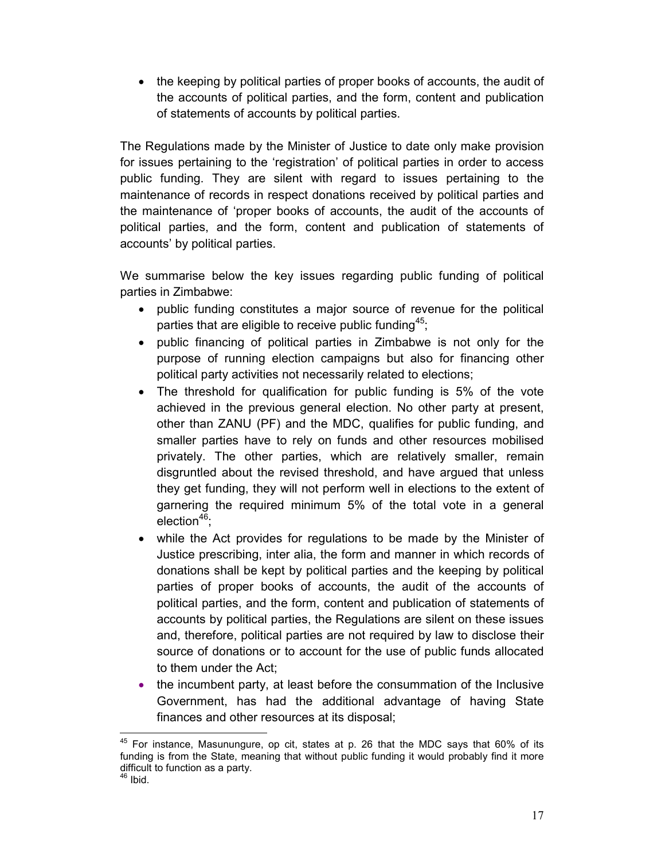• the keeping by political parties of proper books of accounts, the audit of the accounts of political parties, and the form, content and publication of statements of accounts by political parties.

The Regulations made by the Minister of Justice to date only make provision for issues pertaining to the 'registration' of political parties in order to access public funding. They are silent with regard to issues pertaining to the maintenance of records in respect donations received by political parties and the maintenance of 'proper books of accounts, the audit of the accounts of political parties, and the form, content and publication of statements of accounts' by political parties.

We summarise below the key issues regarding public funding of political parties in Zimbabwe:

- public funding constitutes a major source of revenue for the political parties that are eligible to receive public funding<sup>45</sup>;
- public financing of political parties in Zimbabwe is not only for the purpose of running election campaigns but also for financing other political party activities not necessarily related to elections;
- The threshold for qualification for public funding is 5% of the vote achieved in the previous general election. No other party at present, other than ZANU (PF) and the MDC, qualifies for public funding, and smaller parties have to rely on funds and other resources mobilised privately. The other parties, which are relatively smaller, remain disgruntled about the revised threshold, and have argued that unless they get funding, they will not perform well in elections to the extent of garnering the required minimum 5% of the total vote in a general election $46$ :
- while the Act provides for regulations to be made by the Minister of Justice prescribing, inter alia, the form and manner in which records of donations shall be kept by political parties and the keeping by political parties of proper books of accounts, the audit of the accounts of political parties, and the form, content and publication of statements of accounts by political parties, the Regulations are silent on these issues and, therefore, political parties are not required by law to disclose their source of donations or to account for the use of public funds allocated to them under the Act;
- the incumbent party, at least before the consummation of the Inclusive Government, has had the additional advantage of having State finances and other resources at its disposal;

 $45$  For instance, Masunungure, op cit, states at p. 26 that the MDC says that 60% of its funding is from the State, meaning that without public funding it would probably find it more difficult to function as a party.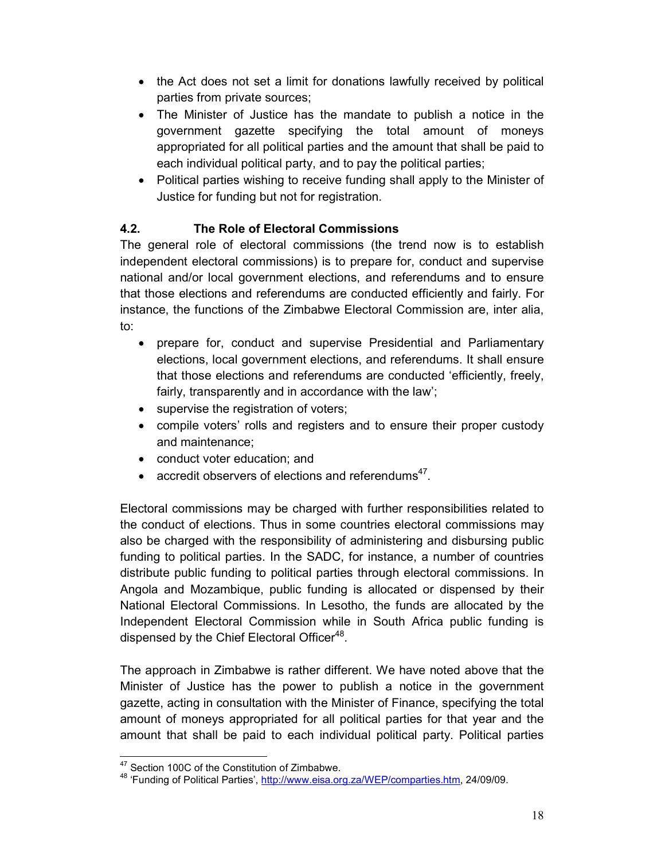- the Act does not set a limit for donations lawfully received by political parties from private sources;
- The Minister of Justice has the mandate to publish a notice in the government gazette specifying the total amount of moneys appropriated for all political parties and the amount that shall be paid to each individual political party, and to pay the political parties;
- Political parties wishing to receive funding shall apply to the Minister of Justice for funding but not for registration.

# 4.2. The Role of Electoral Commissions

The general role of electoral commissions (the trend now is to establish independent electoral commissions) is to prepare for, conduct and supervise national and/or local government elections, and referendums and to ensure that those elections and referendums are conducted efficiently and fairly. For instance, the functions of the Zimbabwe Electoral Commission are, inter alia, to:

- prepare for, conduct and supervise Presidential and Parliamentary elections, local government elections, and referendums. It shall ensure that those elections and referendums are conducted 'efficiently, freely, fairly, transparently and in accordance with the law';
- supervise the registration of voters;
- compile voters' rolls and registers and to ensure their proper custody and maintenance;
- conduct voter education; and
- $\bullet$  accredit observers of elections and referendums<sup>47</sup>.

Electoral commissions may be charged with further responsibilities related to the conduct of elections. Thus in some countries electoral commissions may also be charged with the responsibility of administering and disbursing public funding to political parties. In the SADC, for instance, a number of countries distribute public funding to political parties through electoral commissions. In Angola and Mozambique, public funding is allocated or dispensed by their National Electoral Commissions. In Lesotho, the funds are allocated by the Independent Electoral Commission while in South Africa public funding is dispensed by the Chief Electoral Officer<sup>48</sup>.

The approach in Zimbabwe is rather different. We have noted above that the Minister of Justice has the power to publish a notice in the government gazette, acting in consultation with the Minister of Finance, specifying the total amount of moneys appropriated for all political parties for that year and the amount that shall be paid to each individual political party. Political parties

<sup>&</sup>lt;sup>47</sup> Section 100C of the Constitution of Zimbabwe.

<sup>&</sup>lt;sup>48</sup> 'Funding of Political Parties', http://www.eisa.org.za/WEP/comparties.htm, 24/09/09.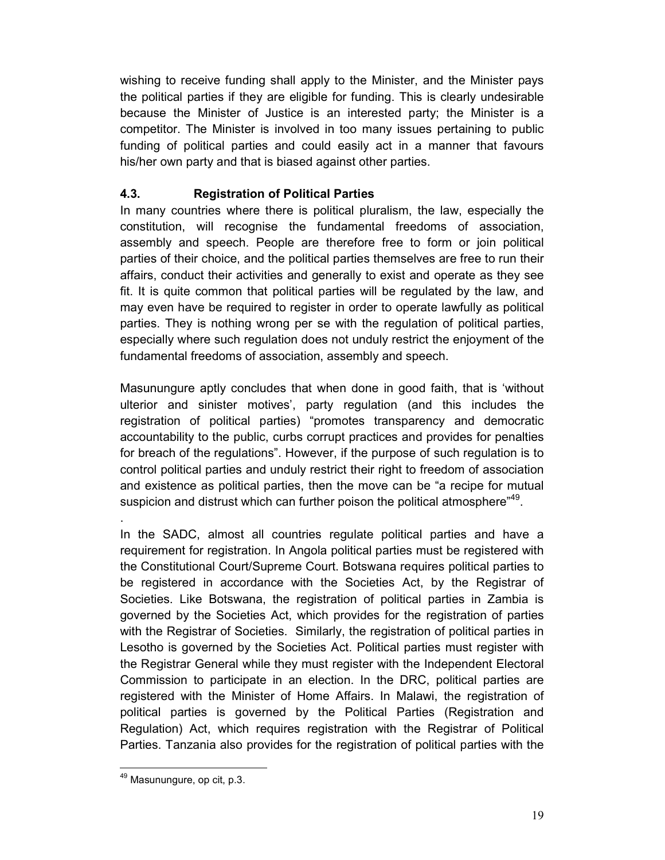wishing to receive funding shall apply to the Minister, and the Minister pays the political parties if they are eligible for funding. This is clearly undesirable because the Minister of Justice is an interested party; the Minister is a competitor. The Minister is involved in too many issues pertaining to public funding of political parties and could easily act in a manner that favours his/her own party and that is biased against other parties.

# 4.3. Registration of Political Parties

In many countries where there is political pluralism, the law, especially the constitution, will recognise the fundamental freedoms of association, assembly and speech. People are therefore free to form or join political parties of their choice, and the political parties themselves are free to run their affairs, conduct their activities and generally to exist and operate as they see fit. It is quite common that political parties will be regulated by the law, and may even have be required to register in order to operate lawfully as political parties. They is nothing wrong per se with the regulation of political parties, especially where such regulation does not unduly restrict the enjoyment of the fundamental freedoms of association, assembly and speech.

Masunungure aptly concludes that when done in good faith, that is 'without ulterior and sinister motives', party regulation (and this includes the registration of political parties) "promotes transparency and democratic accountability to the public, curbs corrupt practices and provides for penalties for breach of the regulations". However, if the purpose of such regulation is to control political parties and unduly restrict their right to freedom of association and existence as political parties, then the move can be "a recipe for mutual suspicion and distrust which can further poison the political atmosphere"<sup>49</sup>.

In the SADC, almost all countries regulate political parties and have a requirement for registration. In Angola political parties must be registered with the Constitutional Court/Supreme Court. Botswana requires political parties to be registered in accordance with the Societies Act, by the Registrar of Societies. Like Botswana, the registration of political parties in Zambia is governed by the Societies Act, which provides for the registration of parties with the Registrar of Societies. Similarly, the registration of political parties in Lesotho is governed by the Societies Act. Political parties must register with the Registrar General while they must register with the Independent Electoral Commission to participate in an election. In the DRC, political parties are registered with the Minister of Home Affairs. In Malawi, the registration of political parties is governed by the Political Parties (Registration and Regulation) Act, which requires registration with the Registrar of Political Parties. Tanzania also provides for the registration of political parties with the

.

<sup>49</sup> Masunungure, op cit, p.3.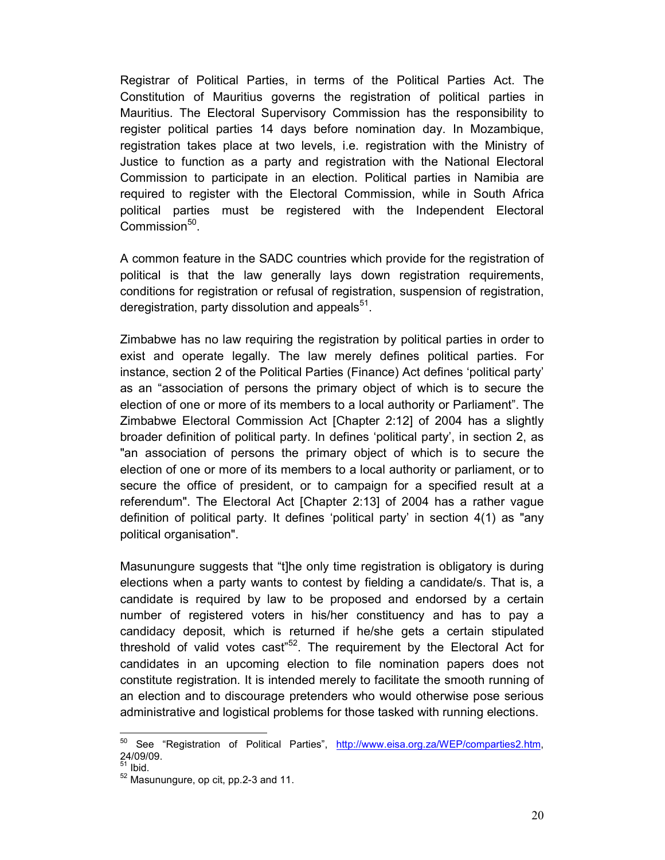Registrar of Political Parties, in terms of the Political Parties Act. The Constitution of Mauritius governs the registration of political parties in Mauritius. The Electoral Supervisory Commission has the responsibility to register political parties 14 days before nomination day. In Mozambique, registration takes place at two levels, i.e. registration with the Ministry of Justice to function as a party and registration with the National Electoral Commission to participate in an election. Political parties in Namibia are required to register with the Electoral Commission, while in South Africa political parties must be registered with the Independent Electoral Commission<sup>50</sup>.

A common feature in the SADC countries which provide for the registration of political is that the law generally lays down registration requirements, conditions for registration or refusal of registration, suspension of registration, deregistration, party dissolution and appeals $^{51}$ .

Zimbabwe has no law requiring the registration by political parties in order to exist and operate legally. The law merely defines political parties. For instance, section 2 of the Political Parties (Finance) Act defines 'political party' as an "association of persons the primary object of which is to secure the election of one or more of its members to a local authority or Parliament". The Zimbabwe Electoral Commission Act [Chapter 2:12] of 2004 has a slightly broader definition of political party. In defines 'political party', in section 2, as "an association of persons the primary object of which is to secure the election of one or more of its members to a local authority or parliament, or to secure the office of president, or to campaign for a specified result at a referendum". The Electoral Act [Chapter 2:13] of 2004 has a rather vague definition of political party. It defines 'political party' in section 4(1) as "any political organisation".

Masunungure suggests that "t]he only time registration is obligatory is during elections when a party wants to contest by fielding a candidate/s. That is, a candidate is required by law to be proposed and endorsed by a certain number of registered voters in his/her constituency and has to pay a candidacy deposit, which is returned if he/she gets a certain stipulated threshold of valid votes cast<sup> $52$ </sup>. The requirement by the Electoral Act for candidates in an upcoming election to file nomination papers does not constitute registration. It is intended merely to facilitate the smooth running of an election and to discourage pretenders who would otherwise pose serious administrative and logistical problems for those tasked with running elections.

<sup>&</sup>lt;sup>50</sup> See "Registration of Political Parties", http://www.eisa.org.za/WEP/comparties2.htm, 24/09/09.

 $\frac{51}{1}$  Ibid.

<sup>52</sup> Masunungure, op cit, pp.2-3 and 11.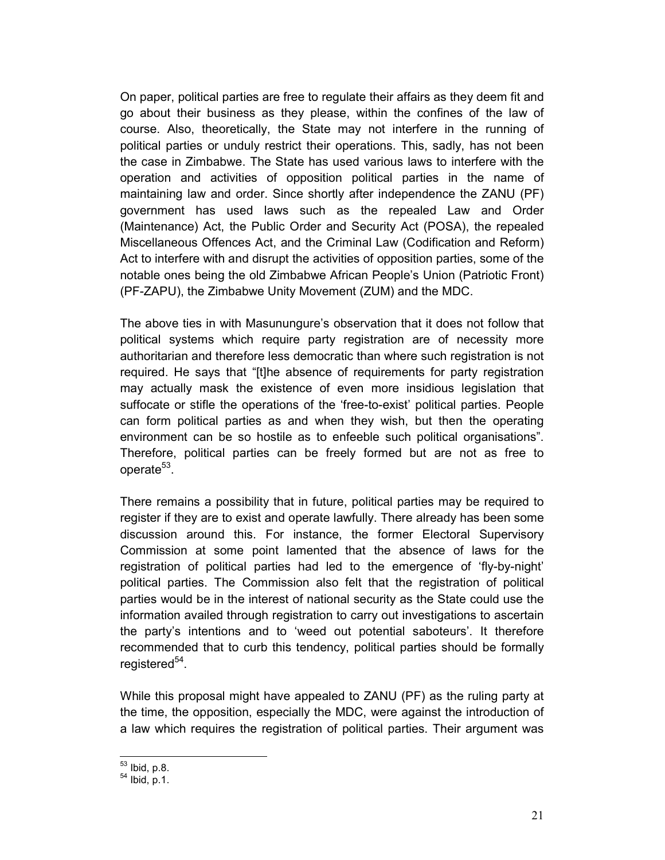On paper, political parties are free to regulate their affairs as they deem fit and go about their business as they please, within the confines of the law of course. Also, theoretically, the State may not interfere in the running of political parties or unduly restrict their operations. This, sadly, has not been the case in Zimbabwe. The State has used various laws to interfere with the operation and activities of opposition political parties in the name of maintaining law and order. Since shortly after independence the ZANU (PF) government has used laws such as the repealed Law and Order (Maintenance) Act, the Public Order and Security Act (POSA), the repealed Miscellaneous Offences Act, and the Criminal Law (Codification and Reform) Act to interfere with and disrupt the activities of opposition parties, some of the notable ones being the old Zimbabwe African People's Union (Patriotic Front) (PF-ZAPU), the Zimbabwe Unity Movement (ZUM) and the MDC.

The above ties in with Masunungure's observation that it does not follow that political systems which require party registration are of necessity more authoritarian and therefore less democratic than where such registration is not required. He says that "[t]he absence of requirements for party registration may actually mask the existence of even more insidious legislation that suffocate or stifle the operations of the 'free-to-exist' political parties. People can form political parties as and when they wish, but then the operating environment can be so hostile as to enfeeble such political organisations". Therefore, political parties can be freely formed but are not as free to operate<sup>53</sup>.

There remains a possibility that in future, political parties may be required to register if they are to exist and operate lawfully. There already has been some discussion around this. For instance, the former Electoral Supervisory Commission at some point lamented that the absence of laws for the registration of political parties had led to the emergence of 'fly-by-night' political parties. The Commission also felt that the registration of political parties would be in the interest of national security as the State could use the information availed through registration to carry out investigations to ascertain the party's intentions and to 'weed out potential saboteurs'. It therefore recommended that to curb this tendency, political parties should be formally registered<sup>54</sup>.

While this proposal might have appealed to ZANU (PF) as the ruling party at the time, the opposition, especially the MDC, were against the introduction of a law which requires the registration of political parties. Their argument was

 $^{53}$  Ibid, p.8.

 $54$  Ibid, p.1.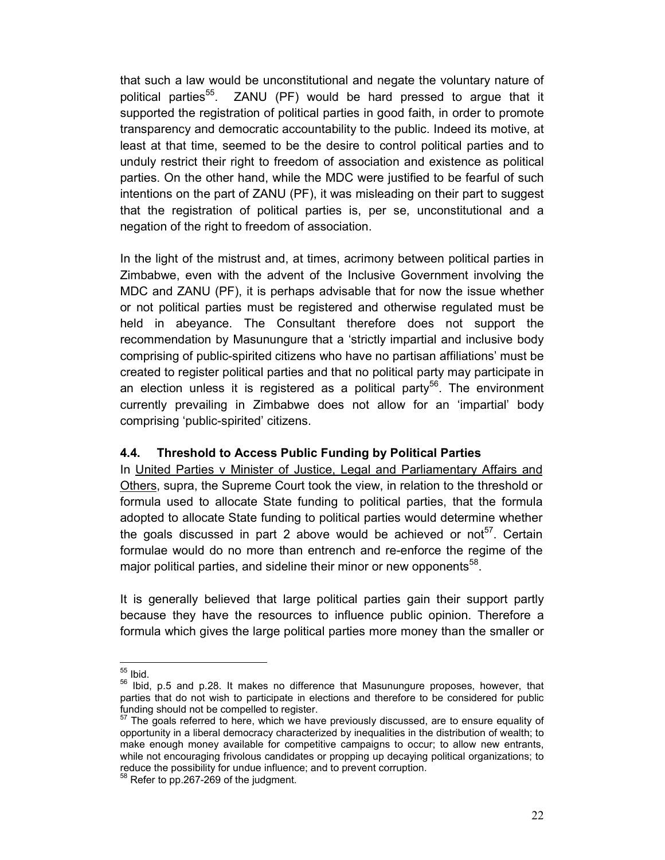that such a law would be unconstitutional and negate the voluntary nature of political parties<sup>55</sup>. ZANU (PF) would be hard pressed to argue that it supported the registration of political parties in good faith, in order to promote transparency and democratic accountability to the public. Indeed its motive, at least at that time, seemed to be the desire to control political parties and to unduly restrict their right to freedom of association and existence as political parties. On the other hand, while the MDC were justified to be fearful of such intentions on the part of ZANU (PF), it was misleading on their part to suggest that the registration of political parties is, per se, unconstitutional and a negation of the right to freedom of association.

In the light of the mistrust and, at times, acrimony between political parties in Zimbabwe, even with the advent of the Inclusive Government involving the MDC and ZANU (PF), it is perhaps advisable that for now the issue whether or not political parties must be registered and otherwise regulated must be held in abeyance. The Consultant therefore does not support the recommendation by Masunungure that a 'strictly impartial and inclusive body comprising of public-spirited citizens who have no partisan affiliations' must be created to register political parties and that no political party may participate in an election unless it is registered as a political party<sup>56</sup>. The environment currently prevailing in Zimbabwe does not allow for an 'impartial' body comprising 'public-spirited' citizens.

#### 4.4. Threshold to Access Public Funding by Political Parties

In United Parties v Minister of Justice, Legal and Parliamentary Affairs and Others, supra, the Supreme Court took the view, in relation to the threshold or formula used to allocate State funding to political parties, that the formula adopted to allocate State funding to political parties would determine whether the goals discussed in part 2 above would be achieved or not<sup>57</sup>. Certain formulae would do no more than entrench and re-enforce the regime of the major political parties, and sideline their minor or new opponents<sup>58</sup>.

It is generally believed that large political parties gain their support partly because they have the resources to influence public opinion. Therefore a formula which gives the large political parties more money than the smaller or

 $55$  Ibid.

<sup>&</sup>lt;sup>56</sup> Ibid, p.5 and p.28. It makes no difference that Masunungure proposes, however, that parties that do not wish to participate in elections and therefore to be considered for public funding should not be compelled to register.

 $57$  The goals referred to here, which we have previously discussed, are to ensure equality of opportunity in a liberal democracy characterized by inequalities in the distribution of wealth; to make enough money available for competitive campaigns to occur; to allow new entrants, while not encouraging frivolous candidates or propping up decaying political organizations; to reduce the possibility for undue influence; and to prevent corruption.

<sup>58</sup> Refer to pp.267-269 of the judgment.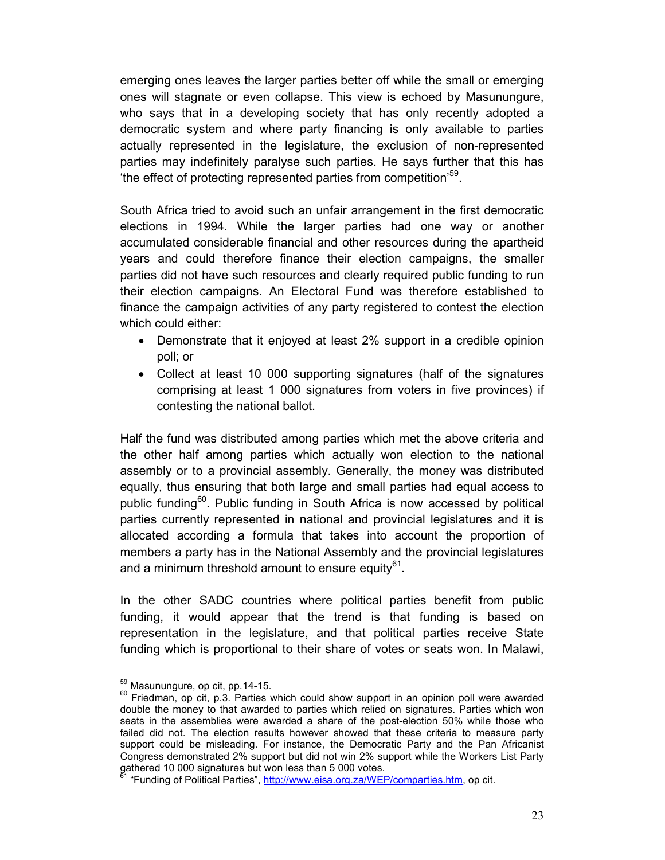emerging ones leaves the larger parties better off while the small or emerging ones will stagnate or even collapse. This view is echoed by Masunungure, who says that in a developing society that has only recently adopted a democratic system and where party financing is only available to parties actually represented in the legislature, the exclusion of non-represented parties may indefinitely paralyse such parties. He says further that this has 'the effect of protecting represented parties from competition'<sup>59</sup>.

South Africa tried to avoid such an unfair arrangement in the first democratic elections in 1994. While the larger parties had one way or another accumulated considerable financial and other resources during the apartheid years and could therefore finance their election campaigns, the smaller parties did not have such resources and clearly required public funding to run their election campaigns. An Electoral Fund was therefore established to finance the campaign activities of any party registered to contest the election which could either:

- Demonstrate that it enjoyed at least 2% support in a credible opinion poll; or
- Collect at least 10 000 supporting signatures (half of the signatures comprising at least 1 000 signatures from voters in five provinces) if contesting the national ballot.

Half the fund was distributed among parties which met the above criteria and the other half among parties which actually won election to the national assembly or to a provincial assembly. Generally, the money was distributed equally, thus ensuring that both large and small parties had equal access to public funding<sup>60</sup>. Public funding in South Africa is now accessed by political parties currently represented in national and provincial legislatures and it is allocated according a formula that takes into account the proportion of members a party has in the National Assembly and the provincial legislatures and a minimum threshold amount to ensure equity $^{61}$ .

In the other SADC countries where political parties benefit from public funding, it would appear that the trend is that funding is based on representation in the legislature, and that political parties receive State funding which is proportional to their share of votes or seats won. In Malawi,

<sup>59</sup> Masunungure, op cit, pp.14-15.

 $60$  Friedman, op cit, p.3. Parties which could show support in an opinion poll were awarded double the money to that awarded to parties which relied on signatures. Parties which won seats in the assemblies were awarded a share of the post-election 50% while those who failed did not. The election results however showed that these criteria to measure party support could be misleading. For instance, the Democratic Party and the Pan Africanist Congress demonstrated 2% support but did not win 2% support while the Workers List Party gathered 10 000 signatures but won less than 5 000 votes.

<sup>&</sup>lt;sup>51</sup> "Funding of Political Parties", http://www.eisa.org.za/WEP/comparties.htm, op cit.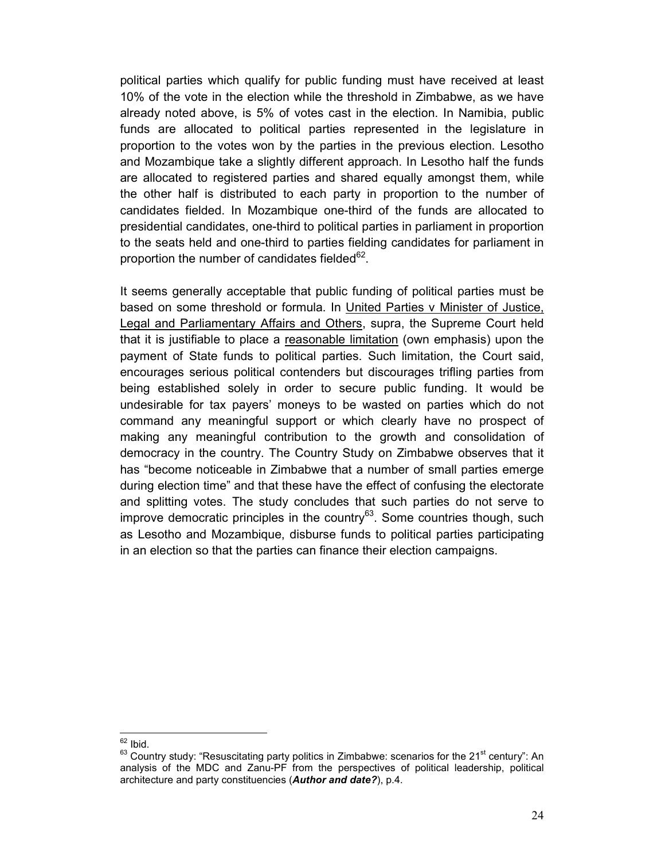political parties which qualify for public funding must have received at least 10% of the vote in the election while the threshold in Zimbabwe, as we have already noted above, is 5% of votes cast in the election. In Namibia, public funds are allocated to political parties represented in the legislature in proportion to the votes won by the parties in the previous election. Lesotho and Mozambique take a slightly different approach. In Lesotho half the funds are allocated to registered parties and shared equally amongst them, while the other half is distributed to each party in proportion to the number of candidates fielded. In Mozambique one-third of the funds are allocated to presidential candidates, one-third to political parties in parliament in proportion to the seats held and one-third to parties fielding candidates for parliament in proportion the number of candidates fielded $62$ .

It seems generally acceptable that public funding of political parties must be based on some threshold or formula. In United Parties v Minister of Justice, Legal and Parliamentary Affairs and Others, supra, the Supreme Court held that it is justifiable to place a reasonable limitation (own emphasis) upon the payment of State funds to political parties. Such limitation, the Court said, encourages serious political contenders but discourages trifling parties from being established solely in order to secure public funding. It would be undesirable for tax payers' moneys to be wasted on parties which do not command any meaningful support or which clearly have no prospect of making any meaningful contribution to the growth and consolidation of democracy in the country. The Country Study on Zimbabwe observes that it has "become noticeable in Zimbabwe that a number of small parties emerge during election time" and that these have the effect of confusing the electorate and splitting votes. The study concludes that such parties do not serve to improve democratic principles in the country<sup>63</sup>. Some countries though, such as Lesotho and Mozambique, disburse funds to political parties participating in an election so that the parties can finance their election campaigns.

 $\frac{62}{1}$  Ibid.

 $63$  Country study: "Resuscitating party politics in Zimbabwe: scenarios for the 21 $\mathrm{^{st}}$  century": An analysis of the MDC and Zanu-PF from the perspectives of political leadership, political architecture and party constituencies (Author and date?), p.4.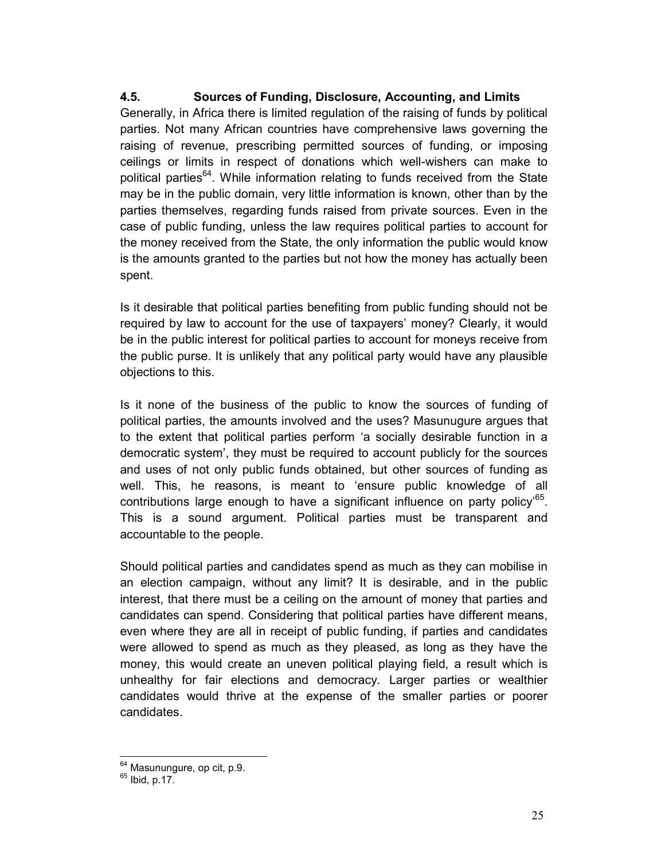#### 4.5. Sources of Funding, Disclosure, Accounting, and Limits

Generally, in Africa there is limited regulation of the raising of funds by political parties. Not many African countries have comprehensive laws governing the raising of revenue, prescribing permitted sources of funding, or imposing ceilings or limits in respect of donations which well-wishers can make to political parties<sup>64</sup>. While information relating to funds received from the State may be in the public domain, very little information is known, other than by the parties themselves, regarding funds raised from private sources. Even in the case of public funding, unless the law requires political parties to account for the money received from the State, the only information the public would know is the amounts granted to the parties but not how the money has actually been spent.

Is it desirable that political parties benefiting from public funding should not be required by law to account for the use of taxpayers' money? Clearly, it would be in the public interest for political parties to account for moneys receive from the public purse. It is unlikely that any political party would have any plausible objections to this.

Is it none of the business of the public to know the sources of funding of political parties, the amounts involved and the uses? Masunugure argues that to the extent that political parties perform 'a socially desirable function in a democratic system', they must be required to account publicly for the sources and uses of not only public funds obtained, but other sources of funding as well. This, he reasons, is meant to 'ensure public knowledge of all contributions large enough to have a significant influence on party policy'<sup>65</sup>. This is a sound argument. Political parties must be transparent and accountable to the people.

Should political parties and candidates spend as much as they can mobilise in an election campaign, without any limit? It is desirable, and in the public interest, that there must be a ceiling on the amount of money that parties and candidates can spend. Considering that political parties have different means, even where they are all in receipt of public funding, if parties and candidates were allowed to spend as much as they pleased, as long as they have the money, this would create an uneven political playing field, a result which is unhealthy for fair elections and democracy. Larger parties or wealthier candidates would thrive at the expense of the smaller parties or poorer candidates.

<sup>&</sup>lt;sup>64</sup> Masunungure, op cit, p.9.

 $65$  Ibid, p.17.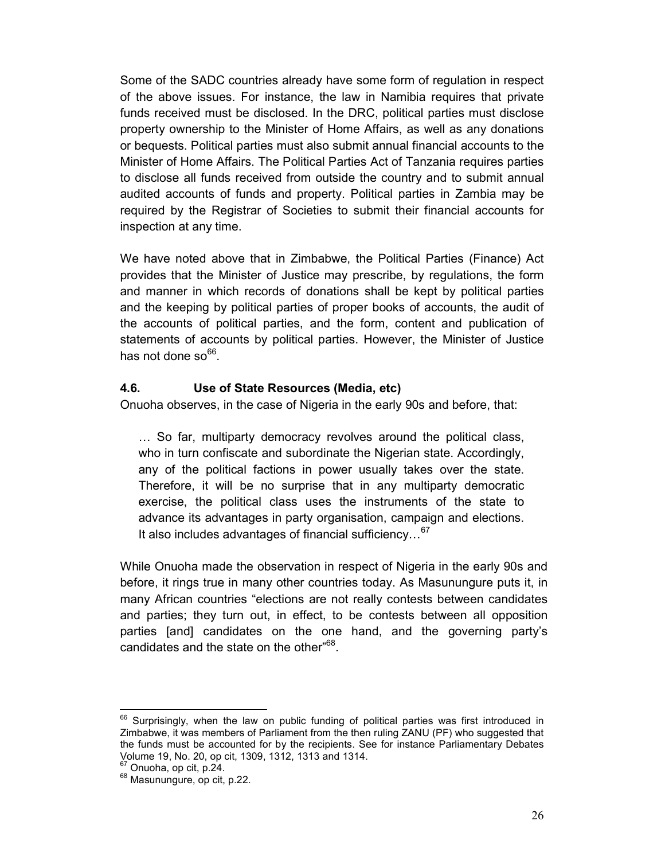Some of the SADC countries already have some form of regulation in respect of the above issues. For instance, the law in Namibia requires that private funds received must be disclosed. In the DRC, political parties must disclose property ownership to the Minister of Home Affairs, as well as any donations or bequests. Political parties must also submit annual financial accounts to the Minister of Home Affairs. The Political Parties Act of Tanzania requires parties to disclose all funds received from outside the country and to submit annual audited accounts of funds and property. Political parties in Zambia may be required by the Registrar of Societies to submit their financial accounts for inspection at any time.

We have noted above that in Zimbabwe, the Political Parties (Finance) Act provides that the Minister of Justice may prescribe, by regulations, the form and manner in which records of donations shall be kept by political parties and the keeping by political parties of proper books of accounts, the audit of the accounts of political parties, and the form, content and publication of statements of accounts by political parties. However, the Minister of Justice has not done so<sup>66</sup>.

#### 4.6. Use of State Resources (Media, etc)

Onuoha observes, in the case of Nigeria in the early 90s and before, that:

… So far, multiparty democracy revolves around the political class, who in turn confiscate and subordinate the Nigerian state. Accordingly, any of the political factions in power usually takes over the state. Therefore, it will be no surprise that in any multiparty democratic exercise, the political class uses the instruments of the state to advance its advantages in party organisation, campaign and elections. It also includes advantages of financial sufficiency...<sup>67</sup>

While Onuoha made the observation in respect of Nigeria in the early 90s and before, it rings true in many other countries today. As Masunungure puts it, in many African countries "elections are not really contests between candidates and parties; they turn out, in effect, to be contests between all opposition parties [and] candidates on the one hand, and the governing party's candidates and the state on the other"<sup>68</sup>.

 $66$  Surprisingly, when the law on public funding of political parties was first introduced in Zimbabwe, it was members of Parliament from the then ruling ZANU (PF) who suggested that the funds must be accounted for by the recipients. See for instance Parliamentary Debates Volume 19, No. 20, op cit, 1309, 1312, 1313 and 1314.

<sup>&</sup>lt;sup>67</sup> Onuoha, op cit, p.24.

<sup>&</sup>lt;sup>68</sup> Masunungure, op cit, p.22.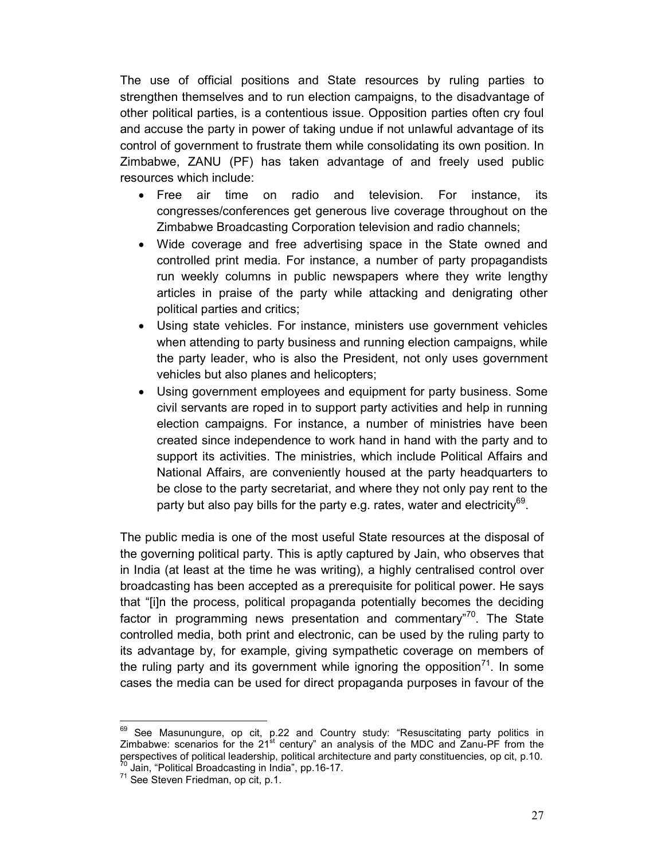The use of official positions and State resources by ruling parties to strengthen themselves and to run election campaigns, to the disadvantage of other political parties, is a contentious issue. Opposition parties often cry foul and accuse the party in power of taking undue if not unlawful advantage of its control of government to frustrate them while consolidating its own position. In Zimbabwe, ZANU (PF) has taken advantage of and freely used public resources which include:

- Free air time on radio and television. For instance, its congresses/conferences get generous live coverage throughout on the Zimbabwe Broadcasting Corporation television and radio channels;
- Wide coverage and free advertising space in the State owned and controlled print media. For instance, a number of party propagandists run weekly columns in public newspapers where they write lengthy articles in praise of the party while attacking and denigrating other political parties and critics;
- Using state vehicles. For instance, ministers use government vehicles when attending to party business and running election campaigns, while the party leader, who is also the President, not only uses government vehicles but also planes and helicopters;
- Using government employees and equipment for party business. Some civil servants are roped in to support party activities and help in running election campaigns. For instance, a number of ministries have been created since independence to work hand in hand with the party and to support its activities. The ministries, which include Political Affairs and National Affairs, are conveniently housed at the party headquarters to be close to the party secretariat, and where they not only pay rent to the party but also pay bills for the party e.g. rates, water and electricity $^{69}$ .

The public media is one of the most useful State resources at the disposal of the governing political party. This is aptly captured by Jain, who observes that in India (at least at the time he was writing), a highly centralised control over broadcasting has been accepted as a prerequisite for political power. He says that "[i]n the process, political propaganda potentially becomes the deciding factor in programming news presentation and commentary<sup>70</sup>. The State controlled media, both print and electronic, can be used by the ruling party to its advantage by, for example, giving sympathetic coverage on members of the ruling party and its government while ignoring the opposition<sup>71</sup>. In some cases the media can be used for direct propaganda purposes in favour of the

<sup>&</sup>lt;sup>69</sup> See Masunungure, op cit, p.22 and Country study: "Resuscitating party politics in Zimbabwe: scenarios for the 21<sup>st</sup> century" an analysis of the MDC and Zanu-PF from the perspectives of political leadership, political architecture and party constituencies, op cit, p.10. <sup>70</sup> Jain, "Political Broadcasting in India", pp.16-17.

<sup>71</sup> See Steven Friedman, op cit, p.1.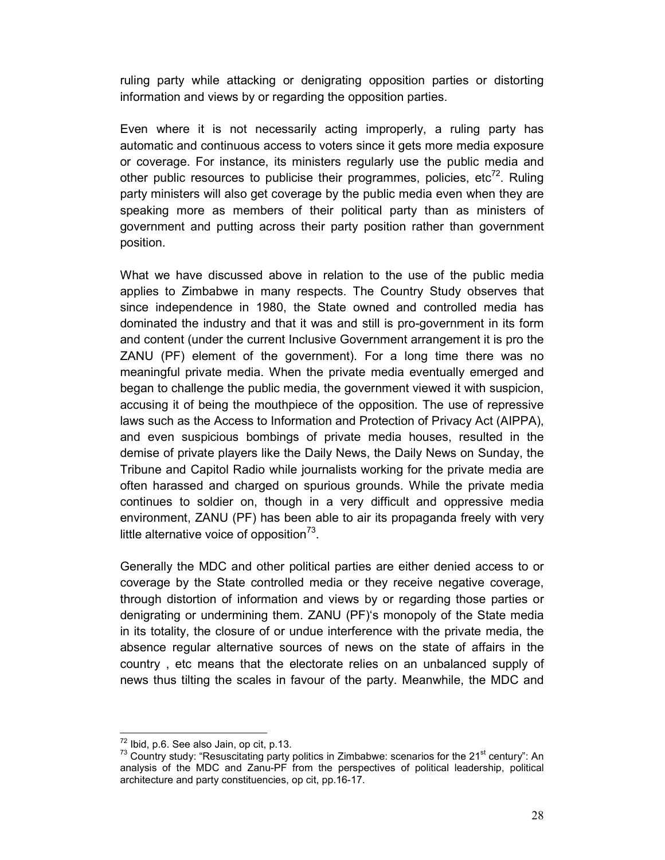ruling party while attacking or denigrating opposition parties or distorting information and views by or regarding the opposition parties.

Even where it is not necessarily acting improperly, a ruling party has automatic and continuous access to voters since it gets more media exposure or coverage. For instance, its ministers regularly use the public media and other public resources to publicise their programmes, policies, etc<sup>72</sup>. Ruling party ministers will also get coverage by the public media even when they are speaking more as members of their political party than as ministers of government and putting across their party position rather than government position.

What we have discussed above in relation to the use of the public media applies to Zimbabwe in many respects. The Country Study observes that since independence in 1980, the State owned and controlled media has dominated the industry and that it was and still is pro-government in its form and content (under the current Inclusive Government arrangement it is pro the ZANU (PF) element of the government). For a long time there was no meaningful private media. When the private media eventually emerged and began to challenge the public media, the government viewed it with suspicion, accusing it of being the mouthpiece of the opposition. The use of repressive laws such as the Access to Information and Protection of Privacy Act (AIPPA), and even suspicious bombings of private media houses, resulted in the demise of private players like the Daily News, the Daily News on Sunday, the Tribune and Capitol Radio while journalists working for the private media are often harassed and charged on spurious grounds. While the private media continues to soldier on, though in a very difficult and oppressive media environment, ZANU (PF) has been able to air its propaganda freely with very little alternative voice of opposition $7^3$ .

Generally the MDC and other political parties are either denied access to or coverage by the State controlled media or they receive negative coverage, through distortion of information and views by or regarding those parties or denigrating or undermining them. ZANU (PF)'s monopoly of the State media in its totality, the closure of or undue interference with the private media, the absence regular alternative sources of news on the state of affairs in the country , etc means that the electorate relies on an unbalanced supply of news thus tilting the scales in favour of the party. Meanwhile, the MDC and

<sup>72</sup> Ibid, p.6. See also Jain, op cit, p.13.

 $73$  Country study: "Resuscitating party politics in Zimbabwe: scenarios for the 21 $\mathrm{^{st}}$  century": An analysis of the MDC and Zanu-PF from the perspectives of political leadership, political architecture and party constituencies, op cit, pp.16-17.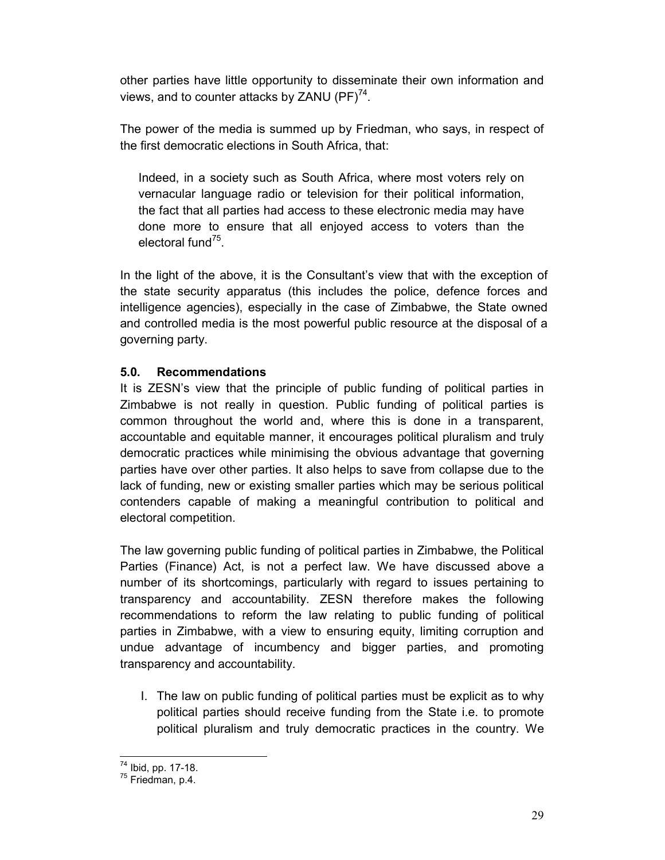other parties have little opportunity to disseminate their own information and views, and to counter attacks by ZANU (PF) $^{74}$ .

The power of the media is summed up by Friedman, who says, in respect of the first democratic elections in South Africa, that:

Indeed, in a society such as South Africa, where most voters rely on vernacular language radio or television for their political information, the fact that all parties had access to these electronic media may have done more to ensure that all enjoyed access to voters than the electoral fund<sup>75</sup>.

In the light of the above, it is the Consultant's view that with the exception of the state security apparatus (this includes the police, defence forces and intelligence agencies), especially in the case of Zimbabwe, the State owned and controlled media is the most powerful public resource at the disposal of a governing party.

### 5.0. Recommendations

It is ZESN's view that the principle of public funding of political parties in Zimbabwe is not really in question. Public funding of political parties is common throughout the world and, where this is done in a transparent, accountable and equitable manner, it encourages political pluralism and truly democratic practices while minimising the obvious advantage that governing parties have over other parties. It also helps to save from collapse due to the lack of funding, new or existing smaller parties which may be serious political contenders capable of making a meaningful contribution to political and electoral competition.

The law governing public funding of political parties in Zimbabwe, the Political Parties (Finance) Act, is not a perfect law. We have discussed above a number of its shortcomings, particularly with regard to issues pertaining to transparency and accountability. ZESN therefore makes the following recommendations to reform the law relating to public funding of political parties in Zimbabwe, with a view to ensuring equity, limiting corruption and undue advantage of incumbency and bigger parties, and promoting transparency and accountability.

I. The law on public funding of political parties must be explicit as to why political parties should receive funding from the State i.e. to promote political pluralism and truly democratic practices in the country. We

<sup>74</sup> Ibid, pp. 17-18.

<sup>75</sup> Friedman, p.4.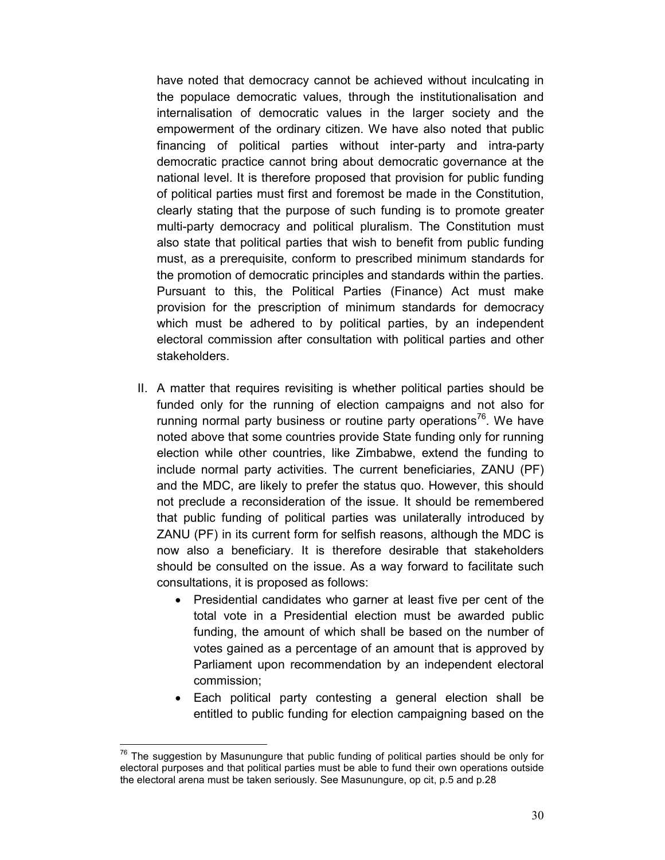have noted that democracy cannot be achieved without inculcating in the populace democratic values, through the institutionalisation and internalisation of democratic values in the larger society and the empowerment of the ordinary citizen. We have also noted that public financing of political parties without inter-party and intra-party democratic practice cannot bring about democratic governance at the national level. It is therefore proposed that provision for public funding of political parties must first and foremost be made in the Constitution, clearly stating that the purpose of such funding is to promote greater multi-party democracy and political pluralism. The Constitution must also state that political parties that wish to benefit from public funding must, as a prerequisite, conform to prescribed minimum standards for the promotion of democratic principles and standards within the parties. Pursuant to this, the Political Parties (Finance) Act must make provision for the prescription of minimum standards for democracy which must be adhered to by political parties, by an independent electoral commission after consultation with political parties and other stakeholders.

- II. A matter that requires revisiting is whether political parties should be funded only for the running of election campaigns and not also for running normal party business or routine party operations<sup>76</sup>. We have noted above that some countries provide State funding only for running election while other countries, like Zimbabwe, extend the funding to include normal party activities. The current beneficiaries, ZANU (PF) and the MDC, are likely to prefer the status quo. However, this should not preclude a reconsideration of the issue. It should be remembered that public funding of political parties was unilaterally introduced by ZANU (PF) in its current form for selfish reasons, although the MDC is now also a beneficiary. It is therefore desirable that stakeholders should be consulted on the issue. As a way forward to facilitate such consultations, it is proposed as follows:
	- Presidential candidates who garner at least five per cent of the total vote in a Presidential election must be awarded public funding, the amount of which shall be based on the number of votes gained as a percentage of an amount that is approved by Parliament upon recommendation by an independent electoral commission;
	- Each political party contesting a general election shall be entitled to public funding for election campaigning based on the

The suggestion by Masunungure that public funding of political parties should be only for electoral purposes and that political parties must be able to fund their own operations outside the electoral arena must be taken seriously. See Masunungure, op cit, p.5 and p.28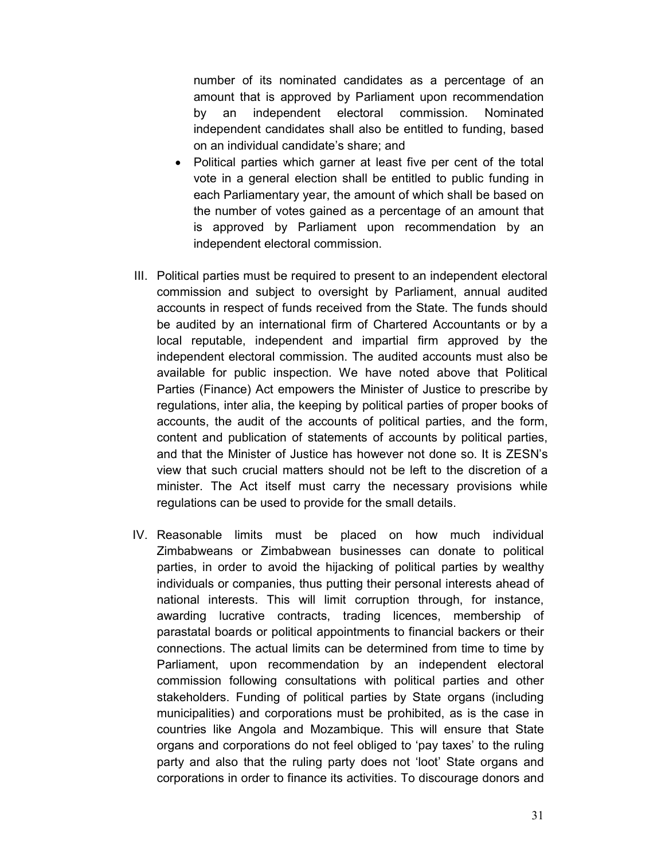number of its nominated candidates as a percentage of an amount that is approved by Parliament upon recommendation by an independent electoral commission. Nominated independent candidates shall also be entitled to funding, based on an individual candidate's share; and

- Political parties which garner at least five per cent of the total vote in a general election shall be entitled to public funding in each Parliamentary year, the amount of which shall be based on the number of votes gained as a percentage of an amount that is approved by Parliament upon recommendation by an independent electoral commission.
- III. Political parties must be required to present to an independent electoral commission and subject to oversight by Parliament, annual audited accounts in respect of funds received from the State. The funds should be audited by an international firm of Chartered Accountants or by a local reputable, independent and impartial firm approved by the independent electoral commission. The audited accounts must also be available for public inspection. We have noted above that Political Parties (Finance) Act empowers the Minister of Justice to prescribe by regulations, inter alia, the keeping by political parties of proper books of accounts, the audit of the accounts of political parties, and the form, content and publication of statements of accounts by political parties, and that the Minister of Justice has however not done so. It is ZESN's view that such crucial matters should not be left to the discretion of a minister. The Act itself must carry the necessary provisions while regulations can be used to provide for the small details.
- IV. Reasonable limits must be placed on how much individual Zimbabweans or Zimbabwean businesses can donate to political parties, in order to avoid the hijacking of political parties by wealthy individuals or companies, thus putting their personal interests ahead of national interests. This will limit corruption through, for instance, awarding lucrative contracts, trading licences, membership of parastatal boards or political appointments to financial backers or their connections. The actual limits can be determined from time to time by Parliament, upon recommendation by an independent electoral commission following consultations with political parties and other stakeholders. Funding of political parties by State organs (including municipalities) and corporations must be prohibited, as is the case in countries like Angola and Mozambique. This will ensure that State organs and corporations do not feel obliged to 'pay taxes' to the ruling party and also that the ruling party does not 'loot' State organs and corporations in order to finance its activities. To discourage donors and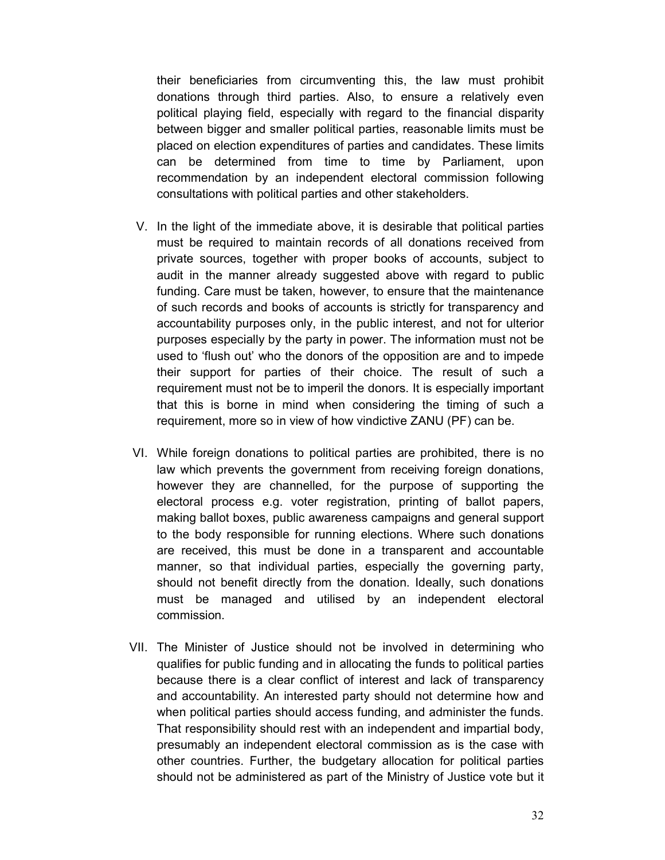their beneficiaries from circumventing this, the law must prohibit donations through third parties. Also, to ensure a relatively even political playing field, especially with regard to the financial disparity between bigger and smaller political parties, reasonable limits must be placed on election expenditures of parties and candidates. These limits can be determined from time to time by Parliament, upon recommendation by an independent electoral commission following consultations with political parties and other stakeholders.

- V. In the light of the immediate above, it is desirable that political parties must be required to maintain records of all donations received from private sources, together with proper books of accounts, subject to audit in the manner already suggested above with regard to public funding. Care must be taken, however, to ensure that the maintenance of such records and books of accounts is strictly for transparency and accountability purposes only, in the public interest, and not for ulterior purposes especially by the party in power. The information must not be used to 'flush out' who the donors of the opposition are and to impede their support for parties of their choice. The result of such a requirement must not be to imperil the donors. It is especially important that this is borne in mind when considering the timing of such a requirement, more so in view of how vindictive ZANU (PF) can be.
- VI. While foreign donations to political parties are prohibited, there is no law which prevents the government from receiving foreign donations, however they are channelled, for the purpose of supporting the electoral process e.g. voter registration, printing of ballot papers, making ballot boxes, public awareness campaigns and general support to the body responsible for running elections. Where such donations are received, this must be done in a transparent and accountable manner, so that individual parties, especially the governing party, should not benefit directly from the donation. Ideally, such donations must be managed and utilised by an independent electoral commission.
- VII. The Minister of Justice should not be involved in determining who qualifies for public funding and in allocating the funds to political parties because there is a clear conflict of interest and lack of transparency and accountability. An interested party should not determine how and when political parties should access funding, and administer the funds. That responsibility should rest with an independent and impartial body, presumably an independent electoral commission as is the case with other countries. Further, the budgetary allocation for political parties should not be administered as part of the Ministry of Justice vote but it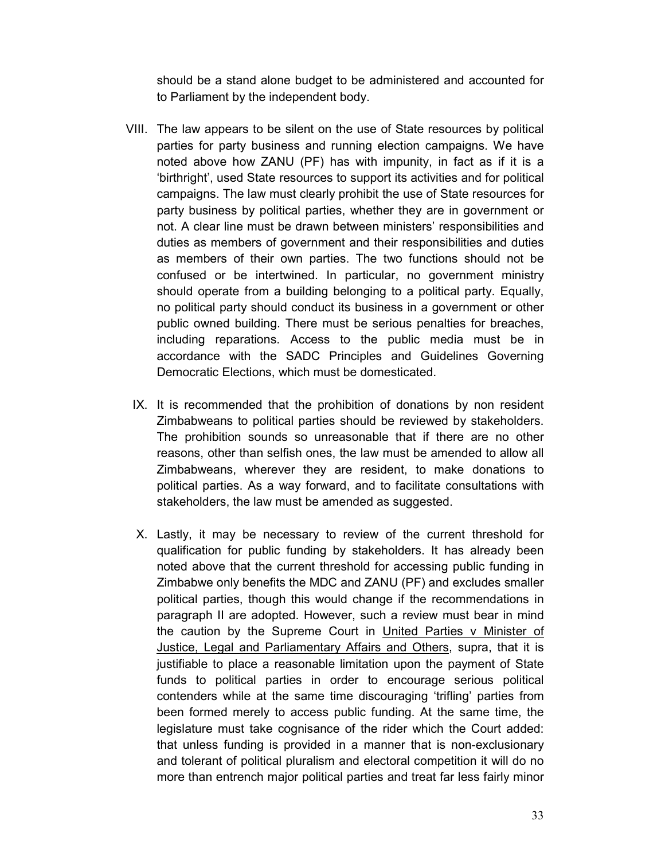should be a stand alone budget to be administered and accounted for to Parliament by the independent body.

- VIII. The law appears to be silent on the use of State resources by political parties for party business and running election campaigns. We have noted above how ZANU (PF) has with impunity, in fact as if it is a 'birthright', used State resources to support its activities and for political campaigns. The law must clearly prohibit the use of State resources for party business by political parties, whether they are in government or not. A clear line must be drawn between ministers' responsibilities and duties as members of government and their responsibilities and duties as members of their own parties. The two functions should not be confused or be intertwined. In particular, no government ministry should operate from a building belonging to a political party. Equally, no political party should conduct its business in a government or other public owned building. There must be serious penalties for breaches, including reparations. Access to the public media must be in accordance with the SADC Principles and Guidelines Governing Democratic Elections, which must be domesticated.
	- IX. It is recommended that the prohibition of donations by non resident Zimbabweans to political parties should be reviewed by stakeholders. The prohibition sounds so unreasonable that if there are no other reasons, other than selfish ones, the law must be amended to allow all Zimbabweans, wherever they are resident, to make donations to political parties. As a way forward, and to facilitate consultations with stakeholders, the law must be amended as suggested.
	- X. Lastly, it may be necessary to review of the current threshold for qualification for public funding by stakeholders. It has already been noted above that the current threshold for accessing public funding in Zimbabwe only benefits the MDC and ZANU (PF) and excludes smaller political parties, though this would change if the recommendations in paragraph II are adopted. However, such a review must bear in mind the caution by the Supreme Court in United Parties v Minister of Justice, Legal and Parliamentary Affairs and Others, supra, that it is justifiable to place a reasonable limitation upon the payment of State funds to political parties in order to encourage serious political contenders while at the same time discouraging 'trifling' parties from been formed merely to access public funding. At the same time, the legislature must take cognisance of the rider which the Court added: that unless funding is provided in a manner that is non-exclusionary and tolerant of political pluralism and electoral competition it will do no more than entrench major political parties and treat far less fairly minor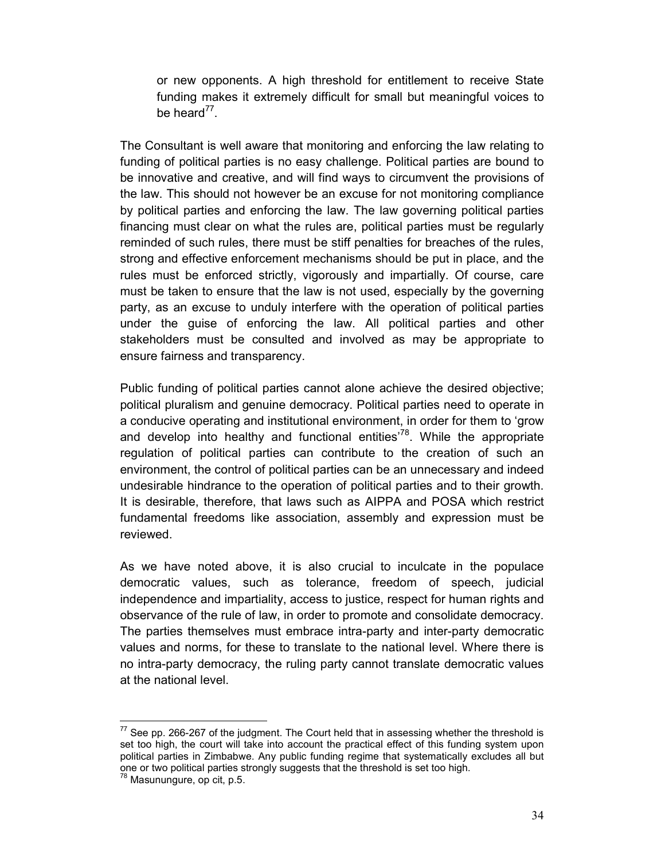or new opponents. A high threshold for entitlement to receive State funding makes it extremely difficult for small but meaningful voices to be heard<sup>77</sup>.

The Consultant is well aware that monitoring and enforcing the law relating to funding of political parties is no easy challenge. Political parties are bound to be innovative and creative, and will find ways to circumvent the provisions of the law. This should not however be an excuse for not monitoring compliance by political parties and enforcing the law. The law governing political parties financing must clear on what the rules are, political parties must be regularly reminded of such rules, there must be stiff penalties for breaches of the rules, strong and effective enforcement mechanisms should be put in place, and the rules must be enforced strictly, vigorously and impartially. Of course, care must be taken to ensure that the law is not used, especially by the governing party, as an excuse to unduly interfere with the operation of political parties under the guise of enforcing the law. All political parties and other stakeholders must be consulted and involved as may be appropriate to ensure fairness and transparency.

Public funding of political parties cannot alone achieve the desired objective; political pluralism and genuine democracy. Political parties need to operate in a conducive operating and institutional environment, in order for them to 'grow and develop into healthy and functional entities<sup>'78</sup>. While the appropriate regulation of political parties can contribute to the creation of such an environment, the control of political parties can be an unnecessary and indeed undesirable hindrance to the operation of political parties and to their growth. It is desirable, therefore, that laws such as AIPPA and POSA which restrict fundamental freedoms like association, assembly and expression must be reviewed.

As we have noted above, it is also crucial to inculcate in the populace democratic values, such as tolerance, freedom of speech, judicial independence and impartiality, access to justice, respect for human rights and observance of the rule of law, in order to promote and consolidate democracy. The parties themselves must embrace intra-party and inter-party democratic values and norms, for these to translate to the national level. Where there is no intra-party democracy, the ruling party cannot translate democratic values at the national level.

 $77$  See pp. 266-267 of the judgment. The Court held that in assessing whether the threshold is set too high, the court will take into account the practical effect of this funding system upon political parties in Zimbabwe. Any public funding regime that systematically excludes all but one or two political parties strongly suggests that the threshold is set too high.

<sup>78</sup> Masunungure, op cit, p.5.